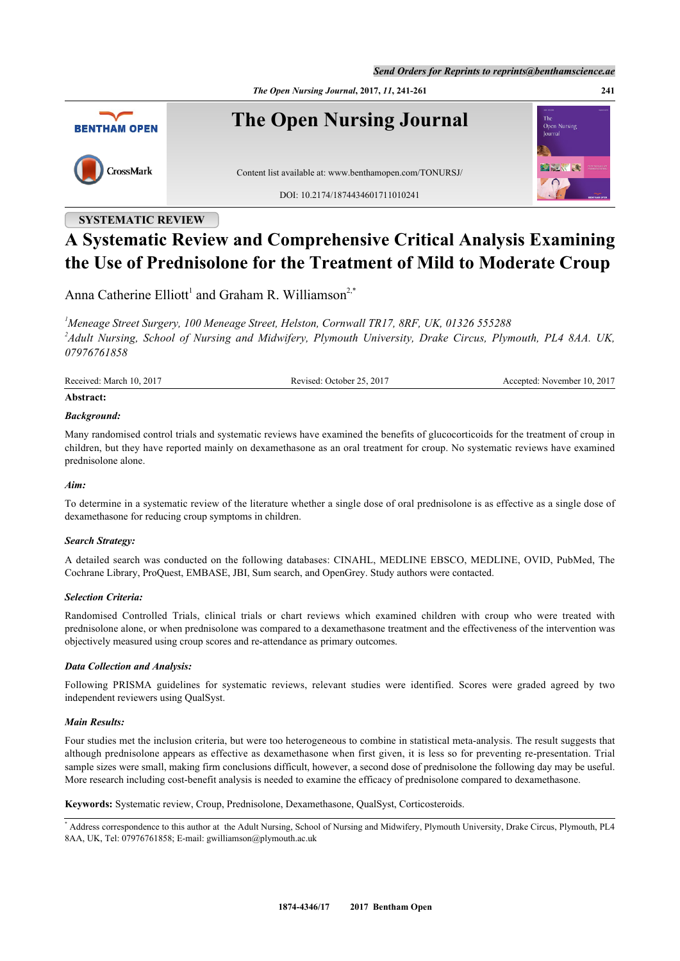*Send Orders for Reprints to reprints@benthamscience.ae*





## **SYSTEMATIC REVIEW**

# **A Systematic Review and Comprehensive Critical Analysis Examining the Use of Prednisolone for the Treatment of Mild to Moderate Croup**

Anna Catherine Elliott<sup>[1](#page-0-0)</sup> and Graham R. Williamson<sup>[2,](#page-0-1)[\\*](#page-0-2)</sup>

<span id="page-0-1"></span><span id="page-0-0"></span>*<sup>1</sup>Meneage Street Surgery, 100 Meneage Street, Helston, Cornwall TR17, 8RF, UK, 01326 555288 2 Adult Nursing, School of Nursing and Midwifery, Plymouth University, Drake Circus, Plymouth, PL4 8AA. UK, 07976761858*

Received: March 10, 2017 Revised: October 25, 2017 Accepted: November 10, 2017

#### **Abstract:**

## *Background:*

Many randomised control trials and systematic reviews have examined the benefits of glucocorticoids for the treatment of croup in children, but they have reported mainly on dexamethasone as an oral treatment for croup. No systematic reviews have examined prednisolone alone.

## *Aim:*

To determine in a systematic review of the literature whether a single dose of oral prednisolone is as effective as a single dose of dexamethasone for reducing croup symptoms in children.

## *Search Strategy:*

A detailed search was conducted on the following databases: CINAHL, MEDLINE EBSCO, MEDLINE, OVID, PubMed, The Cochrane Library, ProQuest, EMBASE, JBI, Sum search, and OpenGrey. Study authors were contacted.

## *Selection Criteria:*

Randomised Controlled Trials, clinical trials or chart reviews which examined children with croup who were treated with prednisolone alone, or when prednisolone was compared to a dexamethasone treatment and the effectiveness of the intervention was objectively measured using croup scores and re-attendance as primary outcomes.

## *Data Collection and Analysis:*

Following PRISMA guidelines for systematic reviews, relevant studies were identified. Scores were graded agreed by two independent reviewers using QualSyst.

#### *Main Results:*

Four studies met the inclusion criteria, but were too heterogeneous to combine in statistical meta-analysis. The result suggests that although prednisolone appears as effective as dexamethasone when first given, it is less so for preventing re-presentation. Trial sample sizes were small, making firm conclusions difficult, however, a second dose of prednisolone the following day may be useful. More research including cost-benefit analysis is needed to examine the efficacy of prednisolone compared to dexamethasone.

**Keywords:** Systematic review, Croup, Prednisolone, Dexamethasone, QualSyst, Corticosteroids.

<span id="page-0-2"></span><sup>\*</sup> Address correspondence to this author at the Adult Nursing, School of Nursing and Midwifery, Plymouth University, Drake Circus, Plymouth, PL4 8AA, UK, Tel: 07976761858; E-mail: [gwilliamson@plymouth.ac.uk](mailto:gwilliamson@plymouth.ac.uk)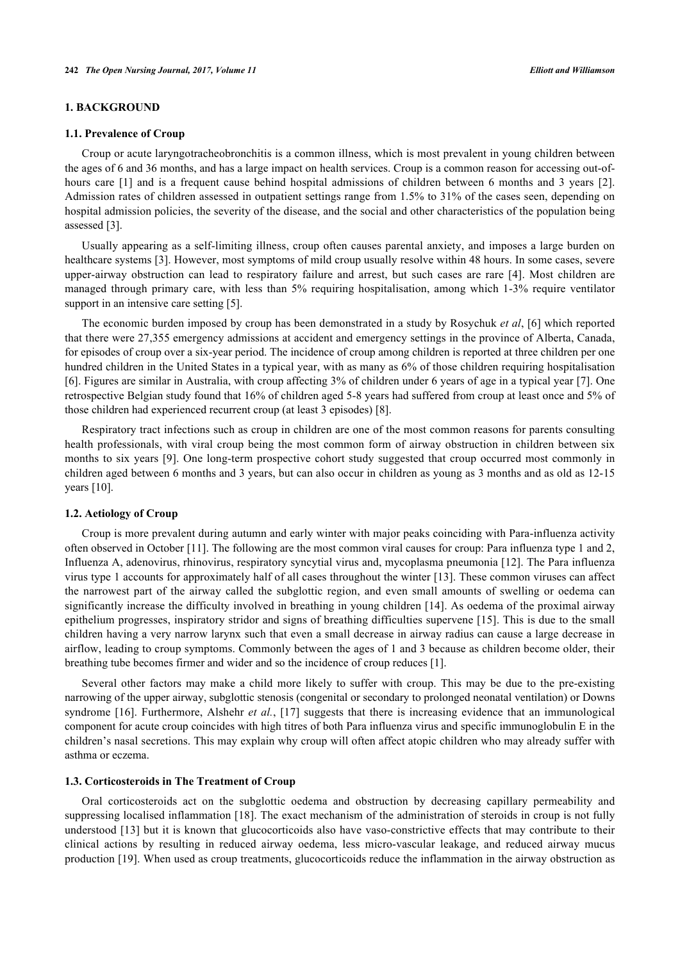## **1. BACKGROUND**

#### **1.1. Prevalence of Croup**

Croup or acute laryngotracheobronchitis is a common illness, which is most prevalent in young children between the ages of 6 and 36 months, and has a large impact on health services. Croup is a common reason for accessing out-of-hourscare [[1\]](#page-15-0) and is a frequent cause behind hospital admissions of children between 6 months and 3 years [[2\]](#page-15-1). Admission rates of children assessed in outpatient settings range from 1.5% to 31% of the cases seen, depending on hospital admission policies, the severity of the disease, and the social and other characteristics of the population being assessed [\[3](#page-16-0)].

Usually appearing as a self-limiting illness, croup often causes parental anxiety, and imposes a large burden on healthcare systems [[3\]](#page-16-0). However, most symptoms of mild croup usually resolve within 48 hours. In some cases, severe upper-airway obstruction can lead to respiratory failure and arrest, but such cases are rare[[4\]](#page-16-1). Most children are managed through primary care, with less than 5% requiring hospitalisation, among which 1-3% require ventilator support in an intensive care setting [[5\]](#page-16-2).

The economic burden imposed by croup has been demonstrated in a study by Rosychuk *et al*, [\[6](#page-16-3)] which reported that there were 27,355 emergency admissions at accident and emergency settings in the province of Alberta, Canada, for episodes of croup over a six-year period. The incidence of croup among children is reported at three children per one hundred children in the United States in a typical year, with as many as 6% of those children requiring hospitalisation [\[6](#page-16-3)]. Figures are similar in Australia, with croup affecting 3% of children under 6 years of age in a typical year [\[7](#page-16-4)]. One retrospective Belgian study found that 16% of children aged 5-8 years had suffered from croup at least once and 5% of those children had experienced recurrent croup (at least 3 episodes) [\[8](#page-16-5)].

Respiratory tract infections such as croup in children are one of the most common reasons for parents consulting health professionals, with viral croup being the most common form of airway obstruction in children between six months to six years [[9](#page-16-6)]. One long-term prospective cohort study suggested that croup occurred most commonly in children aged between 6 months and 3 years, but can also occur in children as young as 3 months and as old as 12-15 years [[10\]](#page-16-7).

## **1.2. Aetiology of Croup**

Croup is more prevalent during autumn and early winter with major peaks coinciding with Para-influenza activity often observed in October [\[11](#page-16-8)]. The following are the most common viral causes for croup: Para influenza type 1 and 2, Influenza A, adenovirus, rhinovirus, respiratory syncytial virus and, mycoplasma pneumonia [\[12\]](#page-16-9). The Para influenza virus type 1 accounts for approximately half of all cases throughout the winter [\[13](#page-16-10)]. These common viruses can affect the narrowest part of the airway called the subglottic region, and even small amounts of swelling or oedema can significantly increase the difficulty involved in breathing in young children [[14\]](#page-16-11). As oedema of the proximal airway epithelium progresses, inspiratory stridor and signs of breathing difficulties supervene [\[15](#page-16-12)]. This is due to the small children having a very narrow larynx such that even a small decrease in airway radius can cause a large decrease in airflow, leading to croup symptoms. Commonly between the ages of 1 and 3 because as children become older, their breathing tube becomes firmer and wider and so the incidence of croup reduces [\[1](#page-15-0)].

Several other factors may make a child more likely to suffer with croup. This may be due to the pre-existing narrowing of the upper airway, subglottic stenosis (congenital or secondary to prolonged neonatal ventilation) or Downs syndrome [[16](#page-16-13)]. Furthermore, Alshehr *et al.*, [[17](#page-16-14)] suggests that there is increasing evidence that an immunological component for acute croup coincides with high titres of both Para influenza virus and specific immunoglobulin E in the children's nasal secretions. This may explain why croup will often affect atopic children who may already suffer with asthma or eczema.

#### **1.3. Corticosteroids in The Treatment of Croup**

Oral corticosteroids act on the subglottic oedema and obstruction by decreasing capillary permeability and suppressing localised inflammation [[18](#page-16-15)]. The exact mechanism of the administration of steroids in croup is not fully understood [[13](#page-16-10)] but it is known that glucocorticoids also have vaso-constrictive effects that may contribute to their clinical actions by resulting in reduced airway oedema, less micro-vascular leakage, and reduced airway mucus production [[19\]](#page-16-16). When used as croup treatments, glucocorticoids reduce the inflammation in the airway obstruction as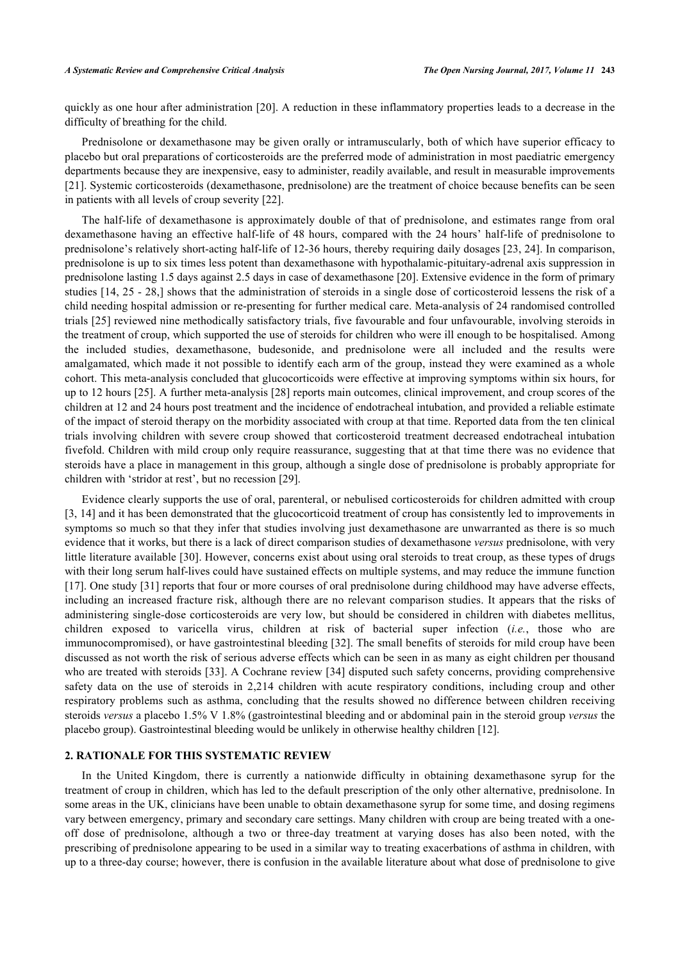quickly as one hour after administration [[20\]](#page-16-17). A reduction in these inflammatory properties leads to a decrease in the difficulty of breathing for the child.

Prednisolone or dexamethasone may be given orally or intramuscularly, both of which have superior efficacy to placebo but oral preparations of corticosteroids are the preferred mode of administration in most paediatric emergency departments because they are inexpensive, easy to administer, readily available, and result in measurable improvements [\[21](#page-16-18)]. Systemic corticosteroids (dexamethasone, prednisolone) are the treatment of choice because benefits can be seen in patients with all levels of croup severity [[22\]](#page-16-19).

The half-life of dexamethasone is approximately double of that of prednisolone, and estimates range from oral dexamethasone having an effective half-life of 48 hours, compared with the 24 hours' half-life of prednisolone to prednisolone's relatively short-acting half-life of 12-36 hours, thereby requiring daily dosages [[23](#page-16-20), [24](#page-16-21)]. In comparison, prednisolone is up to six times less potent than dexamethasone with hypothalamic-pituitary-adrenal axis suppression in prednisolone lasting 1.5 days against 2.5 days in case of dexamethasone [[20\]](#page-16-17). Extensive evidence in the form of primary studies [[14,](#page-16-11) [25](#page-16-22) - [28](#page-17-0),] shows that the administration of steroids in a single dose of corticosteroid lessens the risk of a child needing hospital admission or re-presenting for further medical care. Meta-analysis of 24 randomised controlled trials [\[25\]](#page-16-22) reviewed nine methodically satisfactory trials, five favourable and four unfavourable, involving steroids in the treatment of croup, which supported the use of steroids for children who were ill enough to be hospitalised. Among the included studies, dexamethasone, budesonide, and prednisolone were all included and the results were amalgamated, which made it not possible to identify each arm of the group, instead they were examined as a whole cohort. This meta-analysis concluded that glucocorticoids were effective at improving symptoms within six hours, for up to 12 hours [[25\]](#page-16-22). A further meta-analysis [[28\]](#page-17-0) reports main outcomes, clinical improvement, and croup scores of the children at 12 and 24 hours post treatment and the incidence of endotracheal intubation, and provided a reliable estimate of the impact of steroid therapy on the morbidity associated with croup at that time. Reported data from the ten clinical trials involving children with severe croup showed that corticosteroid treatment decreased endotracheal intubation fivefold. Children with mild croup only require reassurance, suggesting that at that time there was no evidence that steroids have a place in management in this group, although a single dose of prednisolone is probably appropriate for children with 'stridor at rest', but no recession [\[29](#page-17-1)].

Evidence clearly supports the use of oral, parenteral, or nebulised corticosteroids for children admitted with croup [\[3](#page-16-0), [14](#page-16-11)] and it has been demonstrated that the glucocorticoid treatment of croup has consistently led to improvements in symptoms so much so that they infer that studies involving just dexamethasone are unwarranted as there is so much evidence that it works, but there is a lack of direct comparison studies of dexamethasone *versus* prednisolone, with very little literature available [[30\]](#page-17-2). However, concerns exist about using oral steroids to treat croup, as these types of drugs with their long serum half-lives could have sustained effects on multiple systems, and may reduce the immune function [\[17](#page-16-14)]. One study [\[31](#page-17-3)] reports that four or more courses of oral prednisolone during childhood may have adverse effects, including an increased fracture risk, although there are no relevant comparison studies. It appears that the risks of administering single-dose corticosteroids are very low, but should be considered in children with diabetes mellitus, children exposed to varicella virus, children at risk of bacterial super infection (*i.e.*, those who are immunocompromised), or have gastrointestinal bleeding [\[32](#page-17-4)]. The small benefits of steroids for mild croup have been discussed as not worth the risk of serious adverse effects which can be seen in as many as eight children per thousand who are treated with steroids [[33](#page-17-5)]. A Cochrane review [[34\]](#page-17-6) disputed such safety concerns, providing comprehensive safety data on the use of steroids in 2,214 children with acute respiratory conditions, including croup and other respiratory problems such as asthma, concluding that the results showed no difference between children receiving steroids *versus* a placebo 1.5% V 1.8% (gastrointestinal bleeding and or abdominal pain in the steroid group *versus* the placebo group). Gastrointestinal bleeding would be unlikely in otherwise healthy children [[12\]](#page-16-9).

## **2. RATIONALE FOR THIS SYSTEMATIC REVIEW**

In the United Kingdom, there is currently a nationwide difficulty in obtaining dexamethasone syrup for the treatment of croup in children, which has led to the default prescription of the only other alternative, prednisolone. In some areas in the UK, clinicians have been unable to obtain dexamethasone syrup for some time, and dosing regimens vary between emergency, primary and secondary care settings. Many children with croup are being treated with a oneoff dose of prednisolone, although a two or three-day treatment at varying doses has also been noted, with the prescribing of prednisolone appearing to be used in a similar way to treating exacerbations of asthma in children, with up to a three-day course; however, there is confusion in the available literature about what dose of prednisolone to give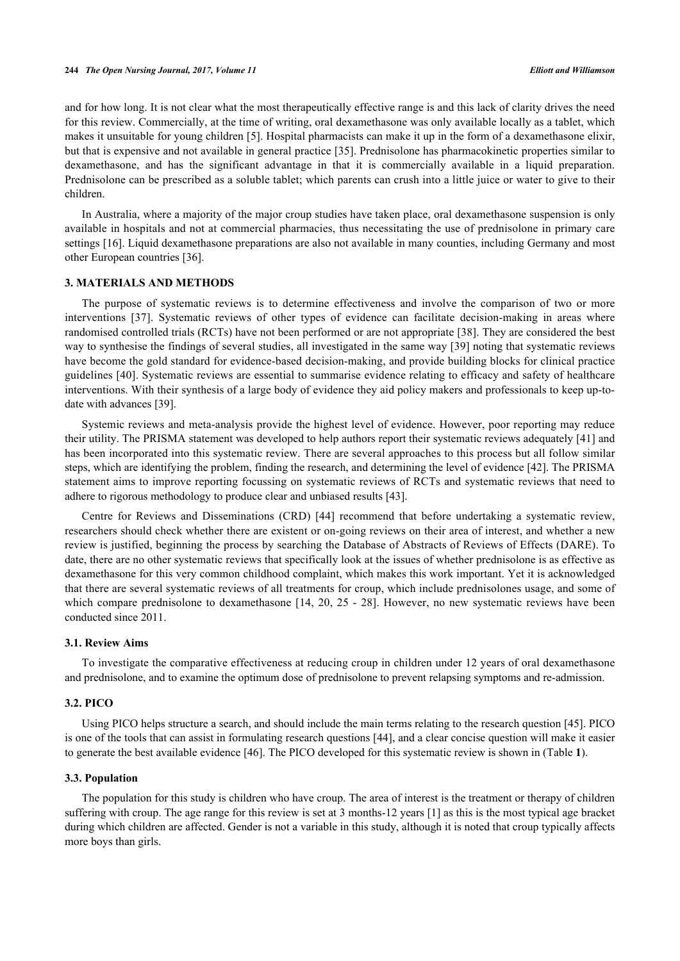and for how long. It is not clear what the most therapeutically effective range is and this lack of clarity drives the need for this review. Commercially, at the time of writing, oral dexamethasone was only available locally as a tablet, which makes it unsuitable for young children [\[5\]](#page-16-2). Hospital pharmacists can make it up in the form of a dexamethasone elixir, but that is expensive and not available in general practice [\[35](#page-17-7)]. Prednisolone has pharmacokinetic properties similar to dexamethasone, and has the significant advantage in that it is commercially available in a liquid preparation. Prednisolone can be prescribed as a soluble tablet; which parents can crush into a little juice or water to give to their children.

In Australia, where a majority of the major croup studies have taken place, oral dexamethasone suspension is only available in hospitals and not at commercial pharmacies, thus necessitating the use of prednisolone in primary care settings [\[16\]](#page-16-13). Liquid dexamethasone preparations are also not available in many counties, including Germany and most other European countries [\[36](#page-17-8)].

## **3. MATERIALS AND METHODS**

The purpose of systematic reviews is to determine effectiveness and involve the comparison of two or more interventions [\[37](#page-17-9)]. Systematic reviews of other types of evidence can facilitate decision-making in areas where randomised controlled trials (RCTs) have not been performed or are not appropriate [[38\]](#page-17-10). They are considered the best way to synthesise the findings of several studies, all investigated in the same way [[39](#page-17-11)] noting that systematic reviews have become the gold standard for evidence-based decision-making, and provide building blocks for clinical practice guidelines [\[40](#page-17-12)]. Systematic reviews are essential to summarise evidence relating to efficacy and safety of healthcare interventions. With their synthesis of a large body of evidence they aid policy makers and professionals to keep up-todate with advances [[39\]](#page-17-11).

Systemic reviews and meta-analysis provide the highest level of evidence. However, poor reporting may reduce their utility. The PRISMA statement was developed to help authors report their systematic reviews adequately [[41](#page-17-13)] and has been incorporated into this systematic review. There are several approaches to this process but all follow similar steps, which are identifying the problem, finding the research, and determining the level of evidence [[42\]](#page-17-14). The PRISMA statement aims to improve reporting focussing on systematic reviews of RCTs and systematic reviews that need to adhere to rigorous methodology to produce clear and unbiased results [\[43](#page-17-15)].

Centre for Reviews and Disseminations (CRD)[[44\]](#page-17-16) recommend that before undertaking a systematic review, researchers should check whether there are existent or on-going reviews on their area of interest, and whether a new review is justified, beginning the process by searching the Database of Abstracts of Reviews of Effects (DARE). To date, there are no other systematic reviews that specifically look at the issues of whether prednisolone is as effective as dexamethasone for this very common childhood complaint, which makes this work important. Yet it is acknowledged that there are several systematic reviews of all treatments for croup, which include prednisolones usage, and some of which compare prednisolone to dexamethasone [\[14](#page-16-11), [20,](#page-16-17) [25](#page-16-22) - [28](#page-17-0)]. However, no new systematic reviews have been conducted since 2011.

#### **3.1. Review Aims**

To investigate the comparative effectiveness at reducing croup in children under 12 years of oral dexamethasone and prednisolone, and to examine the optimum dose of prednisolone to prevent relapsing symptoms and re-admission.

#### **3.2. PICO**

Using PICO helps structure a search, and should include the main terms relating to the research question [\[45](#page-17-17)]. PICO is one of the tools that can assist in formulating research questions [\[44](#page-17-16)], and a clear concise question will make it easier to generate the best available evidence [[46\]](#page-17-18). The PICO developed for this systematic review is shown in (Table **[1](#page-4-0)**).

#### **3.3. Population**

The population for this study is children who have croup. The area of interest is the treatment or therapy of children suffering with croup. The age range for this review is set at 3 months-12 years [[1\]](#page-15-0) as this is the most typical age bracket during which children are affected. Gender is not a variable in this study, although it is noted that croup typically affects more boys than girls.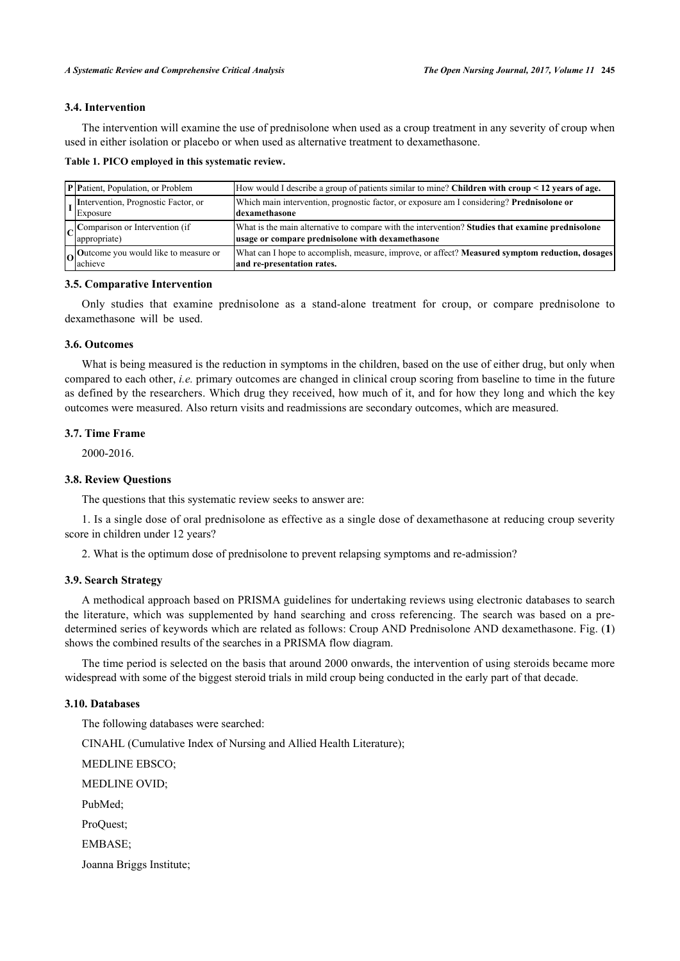## **3.4. Intervention**

The intervention will examine the use of prednisolone when used as a croup treatment in any severity of croup when used in either isolation or placebo or when used as alternative treatment to dexamethasone.

<span id="page-4-0"></span>

|  |  |  |  | Table 1. PICO employed in this systematic review. |
|--|--|--|--|---------------------------------------------------|
|--|--|--|--|---------------------------------------------------|

| <b>P</b> Patient, Population, or Problem               | How would I describe a group of patients similar to mine? Children with croup $\leq 12$ years of age.                                                |
|--------------------------------------------------------|------------------------------------------------------------------------------------------------------------------------------------------------------|
| Intervention, Prognostic Factor, or<br>Exposure        | Which main intervention, prognostic factor, or exposure am I considering? Prednisolone or<br>ldexamethasone                                          |
| $\vert$ Comparison or Intervention (if<br>appropriate) | What is the main alternative to compare with the intervention? Studies that examine prednisolone<br>usage or compare prednisolone with dexamethasone |
| $\log$ Outcome you would like to measure or<br>achieve | What can I hope to accomplish, measure, improve, or affect? Measured symptom reduction, dosages<br>and re-presentation rates.                        |

## **3.5. Comparative Intervention**

Only studies that examine prednisolone as a stand-alone treatment for croup, or compare prednisolone to dexamethasone will be used.

## **3.6. Outcomes**

What is being measured is the reduction in symptoms in the children, based on the use of either drug, but only when compared to each other, *i.e.* primary outcomes are changed in clinical croup scoring from baseline to time in the future as defined by the researchers. Which drug they received, how much of it, and for how they long and which the key outcomes were measured. Also return visits and readmissions are secondary outcomes, which are measured.

## **3.7. Time Frame**

2000-2016.

## **3.8. Review Questions**

The questions that this systematic review seeks to answer are:

1. Is a single dose of oral prednisolone as effective as a single dose of dexamethasone at reducing croup severity score in children under 12 years?

2. What is the optimum dose of prednisolone to prevent relapsing symptoms and re-admission?

## **3.9. Search Strategy**

A methodical approach based on PRISMA guidelines for undertaking reviews using electronic databases to search the literature, which was supplemented by hand searching and cross referencing. The search was based on a predetermined series of keywords which are related as follows: Croup AND Prednisolone AND dexamethasone. Fig. (**[1](#page-5-0)**) shows the combined results of the searches in a PRISMA flow diagram.

The time period is selected on the basis that around 2000 onwards, the intervention of using steroids became more widespread with some of the biggest steroid trials in mild croup being conducted in the early part of that decade.

#### **3.10. Databases**

The following databases were searched: CINAHL (Cumulative Index of Nursing and Allied Health Literature); MEDLINE EBSCO; MEDLINE OVID; PubMed; ProQuest; EMBASE; Joanna Briggs Institute;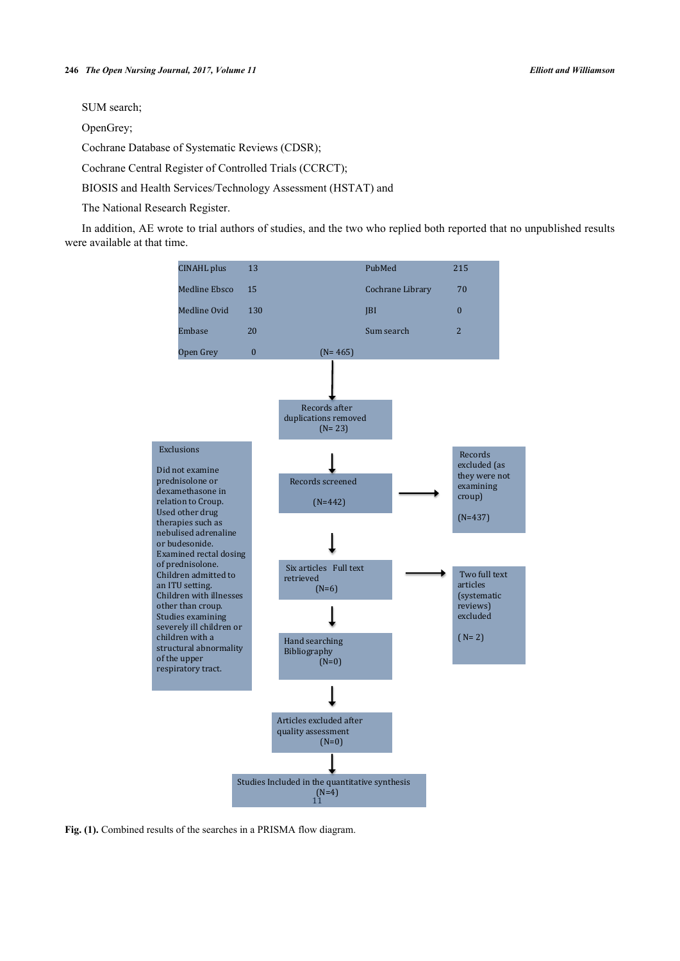SUM search;

OpenGrey;

Cochrane Database of Systematic Reviews (CDSR);

Cochrane Central Register of Controlled Trials (CCRCT);

BIOSIS and Health Services/Technology Assessment (HSTAT) and

The National Research Register.

<span id="page-5-0"></span>In addition, AE wrote to trial authors of studies, and the two who replied both reported that no unpublished results were available at that time.



**Fig. (1).** Combined results of the searches in a PRISMA flow diagram.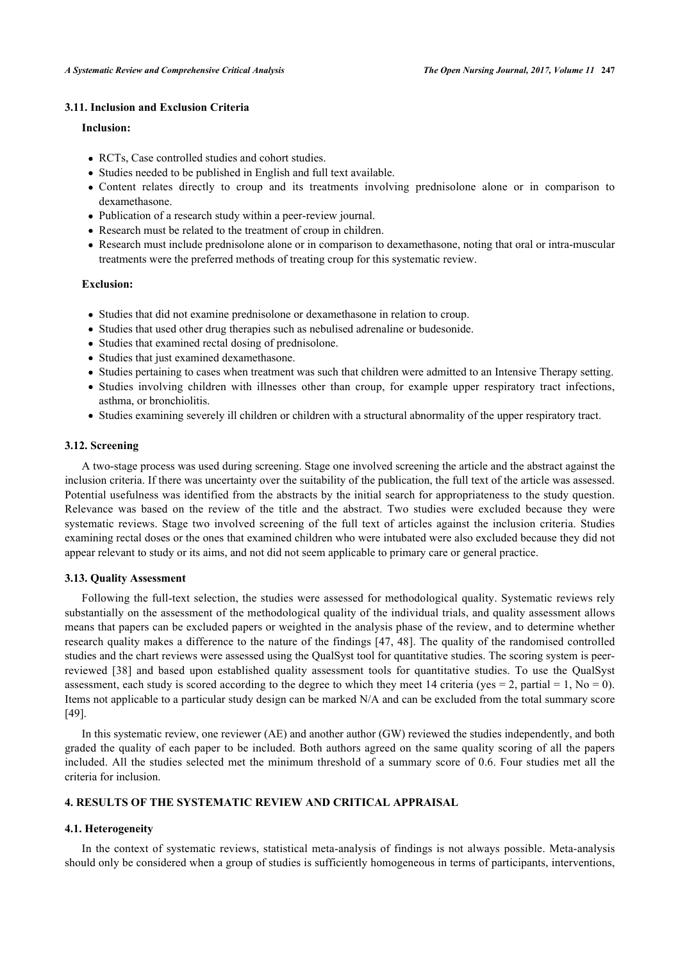## **3.11. Inclusion and Exclusion Criteria**

## **Inclusion:**

- RCTs, Case controlled studies and cohort studies.
- Studies needed to be published in English and full text available.
- Content relates directly to croup and its treatments involving prednisolone alone or in comparison to dexamethasone.
- Publication of a research study within a peer-review journal.
- Research must be related to the treatment of croup in children.
- Research must include prednisolone alone or in comparison to dexamethasone, noting that oral or intra-muscular treatments were the preferred methods of treating croup for this systematic review.

## **Exclusion:**

- Studies that did not examine prednisolone or dexamethasone in relation to croup.
- Studies that used other drug therapies such as nebulised adrenaline or budesonide.
- Studies that examined rectal dosing of prednisolone.
- Studies that just examined dexamethasone.
- Studies pertaining to cases when treatment was such that children were admitted to an Intensive Therapy setting.
- Studies involving children with illnesses other than croup, for example upper respiratory tract infections, asthma, or bronchiolitis.
- Studies examining severely ill children or children with a structural abnormality of the upper respiratory tract.

## **3.12. Screening**

A two-stage process was used during screening. Stage one involved screening the article and the abstract against the inclusion criteria. If there was uncertainty over the suitability of the publication, the full text of the article was assessed. Potential usefulness was identified from the abstracts by the initial search for appropriateness to the study question. Relevance was based on the review of the title and the abstract. Two studies were excluded because they were systematic reviews. Stage two involved screening of the full text of articles against the inclusion criteria. Studies examining rectal doses or the ones that examined children who were intubated were also excluded because they did not appear relevant to study or its aims, and not did not seem applicable to primary care or general practice.

## **3.13. Quality Assessment**

Following the full-text selection, the studies were assessed for methodological quality. Systematic reviews rely substantially on the assessment of the methodological quality of the individual trials, and quality assessment allows means that papers can be excluded papers or weighted in the analysis phase of the review, and to determine whether research quality makes a difference to the nature of the findings [[47](#page-17-19), [48](#page-17-20)]. The quality of the randomised controlled studies and the chart reviews were assessed using the QualSyst tool for quantitative studies. The scoring system is peerreviewed[[38\]](#page-17-10) and based upon established quality assessment tools for quantitative studies. To use the QualSyst assessment, each study is scored according to the degree to which they meet 14 criteria (yes = 2, partial = 1, No = 0). Items not applicable to a particular study design can be marked N/A and can be excluded from the total summary score [\[49](#page-17-21)].

In this systematic review, one reviewer (AE) and another author (GW) reviewed the studies independently, and both graded the quality of each paper to be included. Both authors agreed on the same quality scoring of all the papers included. All the studies selected met the minimum threshold of a summary score of 0.6. Four studies met all the criteria for inclusion.

## **4. RESULTS OF THE SYSTEMATIC REVIEW AND CRITICAL APPRAISAL**

## **4.1. Heterogeneity**

In the context of systematic reviews, statistical meta-analysis of findings is not always possible. Meta-analysis should only be considered when a group of studies is sufficiently homogeneous in terms of participants, interventions,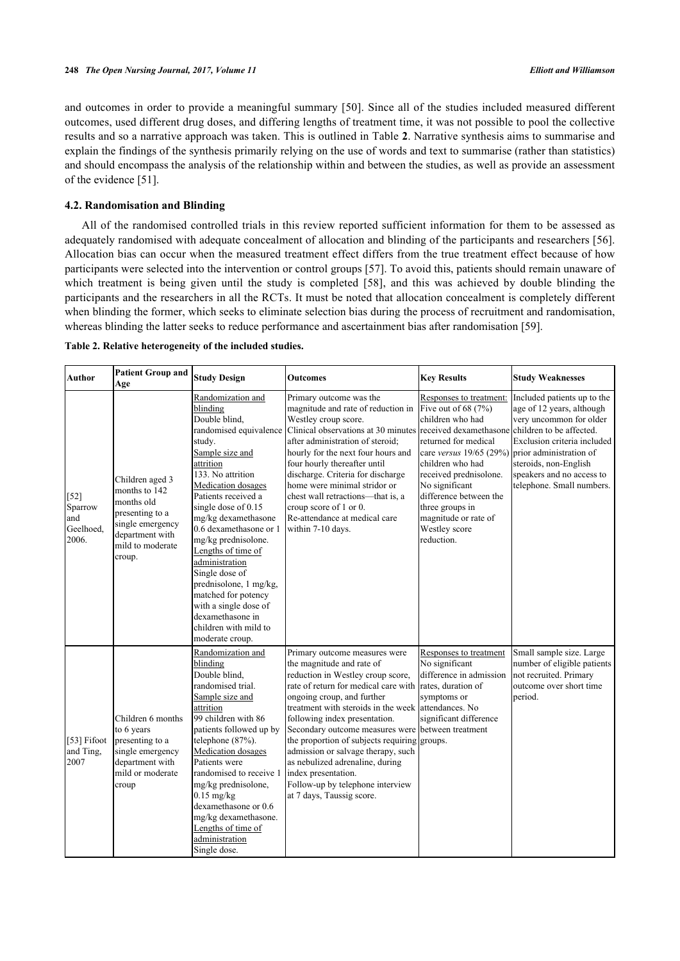and outcomes in order to provide a meaningful summary [[50\]](#page-17-22). Since all of the studies included measured different outcomes, used different drug doses, and differing lengths of treatment time, it was not possible to pool the collective results and so a narrative approach was taken. This is outlined in Table **[2](#page-7-0)**. Narrative synthesis aims to summarise and explain the findings of the synthesis primarily relying on the use of words and text to summarise (rather than statistics) and should encompass the analysis of the relationship within and between the studies, as well as provide an assessment of the evidence [[51\]](#page-18-0).

## **4.2. Randomisation and Blinding**

All of the randomised controlled trials in this review reported sufficient information for them to be assessed as adequately randomised with adequate concealment of allocation and blinding of the participants and researchers [[56\]](#page-18-1). Allocation bias can occur when the measured treatment effect differs from the true treatment effect because of how participants were selected into the intervention or control groups [[57](#page-18-2)]. To avoid this, patients should remain unaware of whichtreatment is being given until the study is completed [[58\]](#page-18-3), and this was achieved by double blinding the participants and the researchers in all the RCTs. It must be noted that allocation concealment is completely different when blinding the former, which seeks to eliminate selection bias during the process of recruitment and randomisation, whereas blinding the latter seeks to reduce performance and ascertainment bias after randomisation [[59\]](#page-18-4).

<span id="page-7-0"></span>

| Table 2. Relative heterogeneity of the included studies. |  |  |  |  |
|----------------------------------------------------------|--|--|--|--|
|----------------------------------------------------------|--|--|--|--|

| <b>Author</b>                                  | <b>Patient Group and</b><br>Age                                                                                                        | <b>Study Design</b>                                                                                                                                                                                                                                                                                                                                                                                                                                                                     | <b>Outcomes</b>                                                                                                                                                                                                                                                                                                                                                                                                                                                                                                     | <b>Key Results</b>                                                                                                                                                                                                                                                                                                   | <b>Study Weaknesses</b>                                                                                                                                                                               |
|------------------------------------------------|----------------------------------------------------------------------------------------------------------------------------------------|-----------------------------------------------------------------------------------------------------------------------------------------------------------------------------------------------------------------------------------------------------------------------------------------------------------------------------------------------------------------------------------------------------------------------------------------------------------------------------------------|---------------------------------------------------------------------------------------------------------------------------------------------------------------------------------------------------------------------------------------------------------------------------------------------------------------------------------------------------------------------------------------------------------------------------------------------------------------------------------------------------------------------|----------------------------------------------------------------------------------------------------------------------------------------------------------------------------------------------------------------------------------------------------------------------------------------------------------------------|-------------------------------------------------------------------------------------------------------------------------------------------------------------------------------------------------------|
| $[52]$<br>Sparrow<br>and<br>Geelhoed.<br>2006. | Children aged 3<br>months to 142<br>months old<br>presenting to a<br>single emergency<br>department with<br>mild to moderate<br>croup. | Randomization and<br>blinding<br>Double blind,<br>randomised equivalence<br>study.<br>Sample size and<br>attrition<br>133. No attrition<br>Medication dosages<br>Patients received a<br>single dose of 0.15<br>mg/kg dexamethasone<br>0.6 dexamethasone or 1<br>mg/kg prednisolone.<br>Lengths of time of<br>administration<br>Single dose of<br>prednisolone, 1 mg/kg,<br>matched for potency<br>with a single dose of<br>dexamethasone in<br>children with mild to<br>moderate croup. | Primary outcome was the<br>magnitude and rate of reduction in<br>Westley croup score.<br>Clinical observations at 30 minutes received dexamethasone children to be affected.<br>after administration of steroid:<br>hourly for the next four hours and<br>four hourly thereafter until<br>discharge. Criteria for discharge<br>home were minimal stridor or<br>chest wall retractions-that is, a<br>croup score of 1 or 0.<br>Re-attendance at medical care<br>within 7-10 days.                                    | Responses to treatment:<br>Five out of $68(7%)$<br>children who had<br>returned for medical<br>care versus $19/65$ (29%) prior administration of<br>children who had<br>received prednisolone.<br>No significant<br>difference between the<br>three groups in<br>magnitude or rate of<br>Westley score<br>reduction. | Included patients up to the<br>age of 12 years, although<br>very uncommon for older<br>Exclusion criteria included<br>steroids, non-English<br>speakers and no access to<br>telephone. Small numbers. |
| [53] Fifoot<br>and Ting,<br>2007               | Children 6 months<br>to 6 years<br>presenting to a<br>single emergency<br>department with<br>mild or moderate<br>croup                 | Randomization and<br>blinding<br>Double blind.<br>randomised trial.<br>Sample size and<br>attrition<br>99 children with 86<br>patients followed up by<br>telephone (87%).<br>Medication dosages<br>Patients were<br>randomised to receive 1<br>mg/kg prednisolone,<br>$0.15$ mg/kg<br>dexamethasone or 0.6<br>mg/kg dexamethasone.<br>Lengths of time of<br>administration<br>Single dose.                                                                                              | Primary outcome measures were<br>the magnitude and rate of<br>reduction in Westley croup score,<br>rate of return for medical care with<br>ongoing croup, and further<br>treatment with steroids in the week<br>following index presentation.<br>Secondary outcome measures were between treatment<br>the proportion of subjects requiring groups.<br>admission or salvage therapy, such<br>as nebulized adrenaline, during<br>index presentation.<br>Follow-up by telephone interview<br>at 7 days, Taussig score. | Responses to treatment<br>No significant<br>difference in admission<br>rates, duration of<br>symptoms or<br>attendances. No<br>significant difference                                                                                                                                                                | Small sample size. Large<br>number of eligible patients<br>not recruited. Primary<br>outcome over short time<br>period.                                                                               |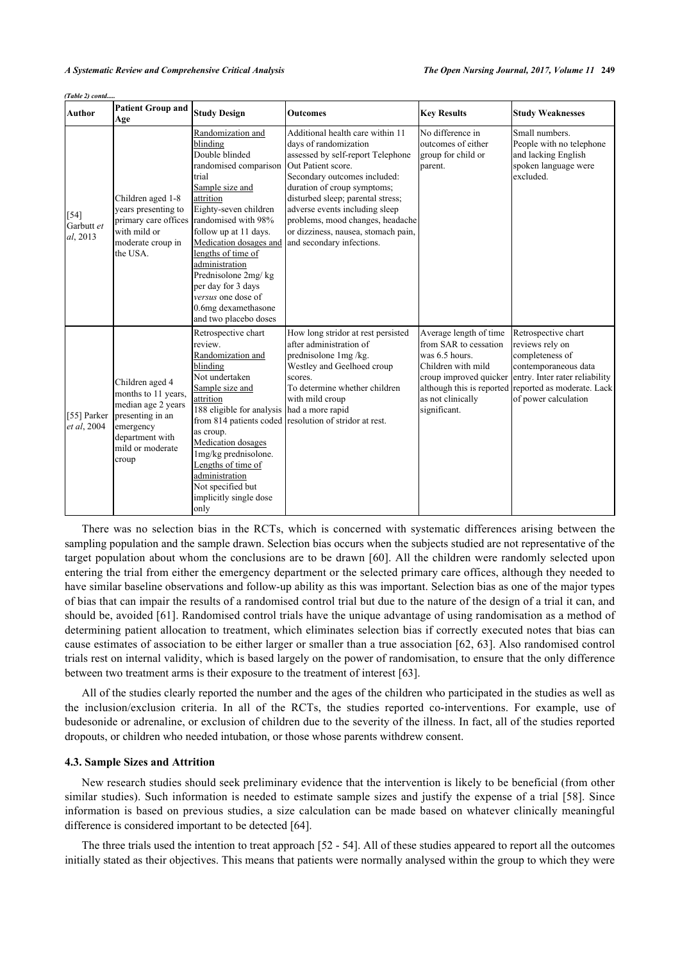*(Table 2) contd.....*

| Author                           | <b>Patient Group and</b><br>Age                                                                                                               | <b>Study Design</b>                                                                                                                                                                                                                                                                                                                                                             | <b>Outcomes</b>                                                                                                                                                                                                                                                                                                                                                    | <b>Key Results</b>                                                                                                           | <b>Study Weaknesses</b>                                                                                                                                                                                                    |
|----------------------------------|-----------------------------------------------------------------------------------------------------------------------------------------------|---------------------------------------------------------------------------------------------------------------------------------------------------------------------------------------------------------------------------------------------------------------------------------------------------------------------------------------------------------------------------------|--------------------------------------------------------------------------------------------------------------------------------------------------------------------------------------------------------------------------------------------------------------------------------------------------------------------------------------------------------------------|------------------------------------------------------------------------------------------------------------------------------|----------------------------------------------------------------------------------------------------------------------------------------------------------------------------------------------------------------------------|
| $[54]$<br>Garbutt et<br>al, 2013 | Children aged 1-8<br>vears presenting to<br>primary care offices<br>with mild or<br>moderate croup in<br>the USA.                             | Randomization and<br>blinding<br>Double blinded<br>randomised comparison<br>trial<br>Sample size and<br>attrition<br>Eighty-seven children<br>randomised with 98%<br>follow up at 11 days.<br>Medication dosages and<br>lengths of time of<br>administration<br>Prednisolone 2mg/kg<br>per day for 3 days<br>versus one dose of<br>0.6mg dexamethasone<br>and two placebo doses | Additional health care within 11<br>days of randomization<br>assessed by self-report Telephone<br>Out Patient score.<br>Secondary outcomes included:<br>duration of croup symptoms;<br>disturbed sleep; parental stress;<br>adverse events including sleep<br>problems, mood changes, headache<br>or dizziness, nausea, stomach pain,<br>and secondary infections. | No difference in<br>outcomes of either<br>group for child or<br>parent.                                                      | Small numbers.<br>People with no telephone<br>and lacking English<br>spoken language were<br>excluded.                                                                                                                     |
| [55] Parker<br>et al, 2004       | Children aged 4<br>months to 11 years,<br>median age 2 years<br>presenting in an<br>emergency<br>department with<br>mild or moderate<br>croup | Retrospective chart<br>review.<br>Randomization and<br>blinding<br>Not undertaken<br>Sample size and<br>attrition<br>188 eligible for analysis had a more rapid<br>as croup.<br>Medication dosages<br>1mg/kg prednisolone.<br>Lengths of time of<br>administration<br>Not specified but<br>implicitly single dose<br>only                                                       | How long stridor at rest persisted<br>after administration of<br>prednisolone 1mg/kg.<br>Westley and Geelhoed croup<br>scores.<br>To determine whether children<br>with mild croup<br>from 814 patients coded resolution of stridor at rest.                                                                                                                       | Average length of time<br>from SAR to cessation<br>was 6.5 hours.<br>Children with mild<br>as not clinically<br>significant. | Retrospective chart<br>reviews rely on<br>completeness of<br>contemporaneous data<br>croup improved quicker entry. Inter rater reliability<br>although this is reported reported as moderate. Lack<br>of power calculation |

There was no selection bias in the RCTs, which is concerned with systematic differences arising between the sampling population and the sample drawn. Selection bias occurs when the subjects studied are not representative of the target population about whom the conclusions are to be drawn [[60\]](#page-18-9). All the children were randomly selected upon entering the trial from either the emergency department or the selected primary care offices, although they needed to have similar baseline observations and follow-up ability as this was important. Selection bias as one of the major types of bias that can impair the results of a randomised control trial but due to the nature of the design of a trial it can, and should be, avoided [\[61\]](#page-18-10). Randomised control trials have the unique advantage of using randomisation as a method of determining patient allocation to treatment, which eliminates selection bias if correctly executed notes that bias can cause estimates of association to be either larger or smaller than a true association [\[62](#page-18-11), [63](#page-18-12)]. Also randomised control trials rest on internal validity, which is based largely on the power of randomisation, to ensure that the only difference between two treatment arms is their exposure to the treatment of interest [\[63](#page-18-12)].

All of the studies clearly reported the number and the ages of the children who participated in the studies as well as the inclusion/exclusion criteria. In all of the RCTs, the studies reported co-interventions. For example, use of budesonide or adrenaline, or exclusion of children due to the severity of the illness. In fact, all of the studies reported dropouts, or children who needed intubation, or those whose parents withdrew consent.

#### **4.3. Sample Sizes and Attrition**

New research studies should seek preliminary evidence that the intervention is likely to be beneficial (from other similar studies). Such information is needed to estimate sample sizes and justify the expense of a trial [[58](#page-18-3)]. Since information is based on previous studies, a size calculation can be made based on whatever clinically meaningful difference is considered important to be detected [\[64](#page-18-13)].

The three trials used the intention to treat approach [[52](#page-18-5) - [54\]](#page-18-7). All of these studies appeared to report all the outcomes initially stated as their objectives. This means that patients were normally analysed within the group to which they were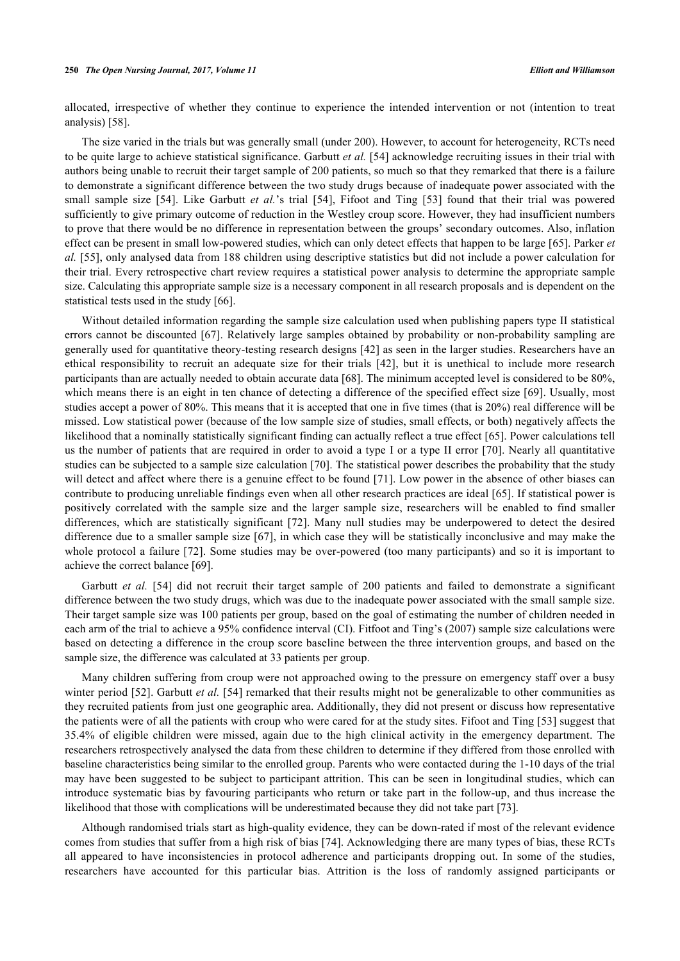allocated, irrespective of whether they continue to experience the intended intervention or not (intention to treat analysis) [\[58](#page-18-3)].

The size varied in the trials but was generally small (under 200). However, to account for heterogeneity, RCTs need to be quite large to achieve statistical significance. Garbutt *et al.* [[54](#page-18-7)] acknowledge recruiting issues in their trial with authors being unable to recruit their target sample of 200 patients, so much so that they remarked that there is a failure to demonstrate a significant difference between the two study drugs because of inadequate power associated with the smallsample size [[54](#page-18-7)]. Like Garbutt *et al.*'s trial [[54\]](#page-18-7), Fifoot and Ting [[53\]](#page-18-6) found that their trial was powered sufficiently to give primary outcome of reduction in the Westley croup score. However, they had insufficient numbers to prove that there would be no difference in representation between the groups' secondary outcomes. Also, inflation effect can be present in small low-powered studies, which can only detect effects that happen to be large [[65](#page-18-14)]. Parker *et al.* [[55\]](#page-18-8), only analysed data from 188 children using descriptive statistics but did not include a power calculation for their trial. Every retrospective chart review requires a statistical power analysis to determine the appropriate sample size. Calculating this appropriate sample size is a necessary component in all research proposals and is dependent on the statistical tests used in the study [[66\]](#page-18-15).

Without detailed information regarding the sample size calculation used when publishing papers type II statistical errors cannot be discounted [\[67](#page-18-16)]. Relatively large samples obtained by probability or non-probability sampling are generally used for quantitative theory-testing research designs [[42](#page-17-14)] as seen in the larger studies. Researchers have an ethical responsibility to recruit an adequate size for their trials[[42](#page-17-14)], but it is unethical to include more research participants than are actually needed to obtain accurate data [\[68](#page-18-17)]. The minimum accepted level is considered to be 80%, which means there is an eight in ten chance of detecting a difference of the specified effect size [[69](#page-18-18)]. Usually, most studies accept a power of 80%. This means that it is accepted that one in five times (that is 20%) real difference will be missed. Low statistical power (because of the low sample size of studies, small effects, or both) negatively affects the likelihood that a nominally statistically significant finding can actually reflect a true effect [[65](#page-18-14)]. Power calculations tell us the number of patients that are required in order to avoid a type I or a type II error [[70](#page-18-19)]. Nearly all quantitative studies can be subjected to a sample size calculation [\[70](#page-18-19)]. The statistical power describes the probability that the study will detect and affect where there is a genuine effect to be found [\[71\]](#page-18-20). Low power in the absence of other biases can contribute to producing unreliable findings even when all other research practices are ideal [\[65](#page-18-14)]. If statistical power is positively correlated with the sample size and the larger sample size, researchers will be enabled to find smaller differences, which are statistically significant [\[72\]](#page-18-21). Many null studies may be underpowered to detect the desired difference due to a smaller sample size [[67\]](#page-18-16), in which case they will be statistically inconclusive and may make the whole protocol a failure [\[72](#page-18-21)]. Some studies may be over-powered (too many participants) and so it is important to achieve the correct balance [\[69](#page-18-18)].

Garbutt *et al.* [\[54](#page-18-7)] did not recruit their target sample of 200 patients and failed to demonstrate a significant difference between the two study drugs, which was due to the inadequate power associated with the small sample size. Their target sample size was 100 patients per group, based on the goal of estimating the number of children needed in each arm of the trial to achieve a 95% confidence interval (CI). Fitfoot and Ting's (2007) sample size calculations were based on detecting a difference in the croup score baseline between the three intervention groups, and based on the sample size, the difference was calculated at 33 patients per group.

Many children suffering from croup were not approached owing to the pressure on emergency staff over a busy winter period [\[52](#page-18-5)]. Garbutt *et al.* [[54](#page-18-7)] remarked that their results might not be generalizable to other communities as they recruited patients from just one geographic area. Additionally, they did not present or discuss how representative the patients were of all the patients with croup who were cared for at the study sites. Fifoot and Ting [[53](#page-18-6)] suggest that 35.4% of eligible children were missed, again due to the high clinical activity in the emergency department. The researchers retrospectively analysed the data from these children to determine if they differed from those enrolled with baseline characteristics being similar to the enrolled group. Parents who were contacted during the 1-10 days of the trial may have been suggested to be subject to participant attrition. This can be seen in longitudinal studies, which can introduce systematic bias by favouring participants who return or take part in the follow-up, and thus increase the likelihood that those with complications will be underestimated because they did not take part [\[73](#page-19-0)].

Although randomised trials start as high-quality evidence, they can be down-rated if most of the relevant evidence comes from studies that suffer from a high risk of bias [[74](#page-19-1)]. Acknowledging there are many types of bias, these RCTs all appeared to have inconsistencies in protocol adherence and participants dropping out. In some of the studies, researchers have accounted for this particular bias. Attrition is the loss of randomly assigned participants or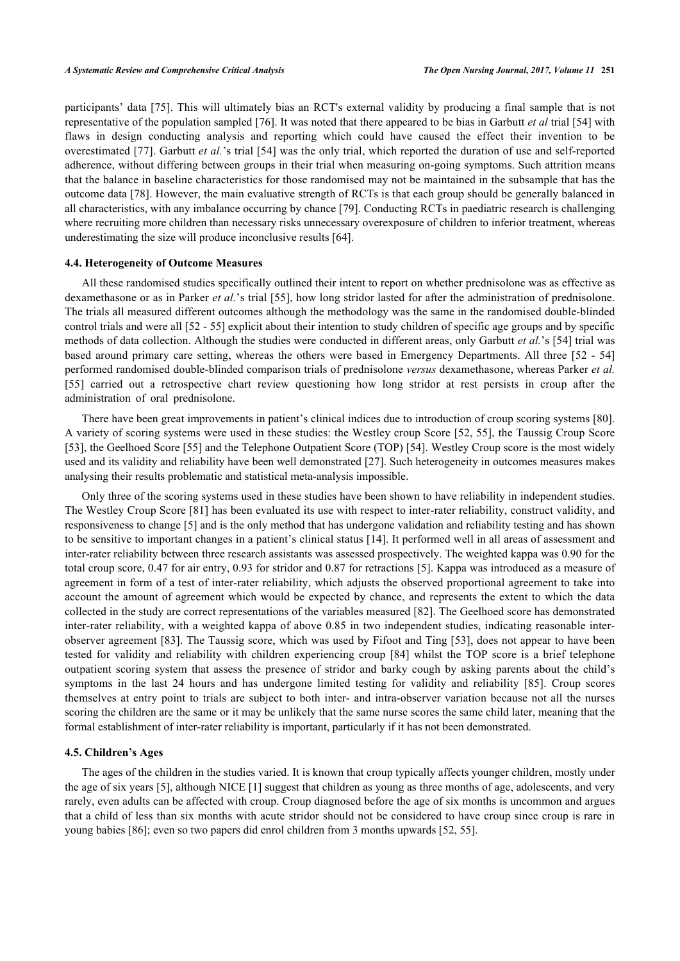participants' data [\[75\]](#page-19-2). This will ultimately bias an RCT's external validity by producing a final sample that is not representative of the population sampled [[76](#page-19-3)]. It was noted that there appeared to be bias in Garbutt *et al* trial [[54\]](#page-18-7) with flaws in design conducting analysis and reporting which could have caused the effect their invention to be overestimated [[77\]](#page-19-4). Garbutt *et al.*'s trial [\[54\]](#page-18-7) was the only trial, which reported the duration of use and self-reported adherence, without differing between groups in their trial when measuring on-going symptoms. Such attrition means that the balance in baseline characteristics for those randomised may not be maintained in the subsample that has the outcome data [\[78](#page-19-5)]. However, the main evaluative strength of RCTs is that each group should be generally balanced in all characteristics, with any imbalance occurring by chance [\[79](#page-19-6)]. Conducting RCTs in paediatric research is challenging where recruiting more children than necessary risks unnecessary overexposure of children to inferior treatment, whereas underestimating the size will produce inconclusive results [\[64](#page-18-13)].

## **4.4. Heterogeneity of Outcome Measures**

All these randomised studies specifically outlined their intent to report on whether prednisolone was as effective as dexamethasone or as in Parker *et al.*'s trial [\[55](#page-18-8)], how long stridor lasted for after the administration of prednisolone. The trials all measured different outcomes although the methodology was the same in the randomised double-blinded control trials and were all [\[52](#page-18-5) - [55\]](#page-18-8) explicit about their intention to study children of specific age groups and by specific methods of data collection. Although the studies were conducted in different areas, only Garbutt *et al.*'s [\[54\]](#page-18-7) trial was based around primary care setting, whereas the others were based in Emergency Departments. All three [[52](#page-18-5) - [54](#page-18-7)] performed randomised double-blinded comparison trials of prednisolone *versus* dexamethasone, whereas Parker *et al.* [\[55](#page-18-8)] carried out a retrospective chart review questioning how long stridor at rest persists in croup after the administration of oral prednisolone.

There have been great improvements in patient's clinical indices due to introduction of croup scoring systems [[80\]](#page-19-7). A variety of scoring systems were used in these studies: the Westley croup Score [\[52](#page-18-5), [55](#page-18-8)], the Taussig Croup Score [\[53](#page-18-6)], the Geelhoed Score [[55\]](#page-18-8) and the Telephone Outpatient Score (TOP) [[54](#page-18-7)]. Westley Croup score is the most widely used and its validity and reliability have been well demonstrated [[27\]](#page-16-23). Such heterogeneity in outcomes measures makes analysing their results problematic and statistical meta-analysis impossible.

Only three of the scoring systems used in these studies have been shown to have reliability in independent studies. The Westley Croup Score [\[81](#page-19-8)] has been evaluated its use with respect to inter-rater reliability, construct validity, and responsiveness to change [\[5](#page-16-2)] and is the only method that has undergone validation and reliability testing and has shown to be sensitive to important changes in a patient's clinical status [\[14\]](#page-16-11). It performed well in all areas of assessment and inter-rater reliability between three research assistants was assessed prospectively. The weighted kappa was 0.90 for the total croup score, 0.47 for air entry, 0.93 for stridor and 0.87 for retractions [[5\]](#page-16-2). Kappa was introduced as a measure of agreement in form of a test of inter-rater reliability, which adjusts the observed proportional agreement to take into account the amount of agreement which would be expected by chance, and represents the extent to which the data collected in the study are correct representations of the variables measured [[82\]](#page-19-9). The Geelhoed score has demonstrated inter-rater reliability, with a weighted kappa of above 0.85 in two independent studies, indicating reasonable interobserver agreement [[83](#page-19-10)]. The Taussig score, which was used by Fifoot and Ting [\[53\]](#page-18-6), does not appear to have been tested for validity and reliability with children experiencing croup[[84](#page-19-11)] whilst the TOP score is a brief telephone outpatient scoring system that assess the presence of stridor and barky cough by asking parents about the child's symptoms in the last 24 hours and has undergone limited testing for validity and reliability [\[85\]](#page-19-12). Croup scores themselves at entry point to trials are subject to both inter- and intra-observer variation because not all the nurses scoring the children are the same or it may be unlikely that the same nurse scores the same child later, meaning that the formal establishment of inter-rater reliability is important, particularly if it has not been demonstrated.

#### **4.5. Children's Ages**

The ages of the children in the studies varied. It is known that croup typically affects younger children, mostly under the age of six years [\[5](#page-16-2)], although NICE [[1](#page-15-0)] suggest that children as young as three months of age, adolescents, and very rarely, even adults can be affected with croup. Croup diagnosed before the age of six months is uncommon and argues that a child of less than six months with acute stridor should not be considered to have croup since croup is rare in young babies [[86\]](#page-19-13); even so two papers did enrol children from 3 months upwards [[52,](#page-18-5) [55\]](#page-18-8).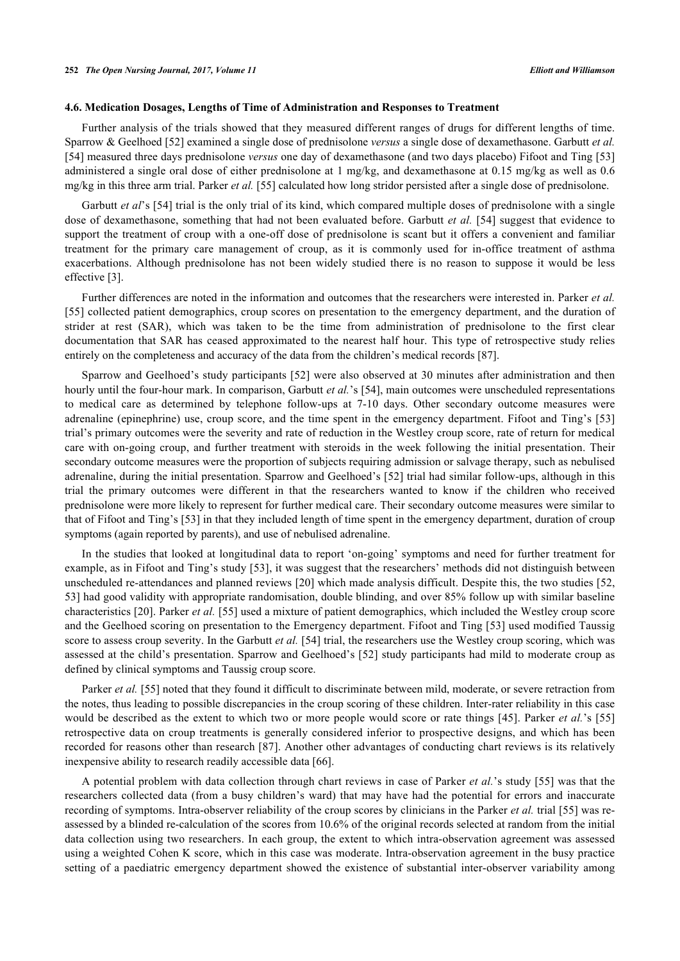### **4.6. Medication Dosages, Lengths of Time of Administration and Responses to Treatment**

Further analysis of the trials showed that they measured different ranges of drugs for different lengths of time. Sparrow & Geelhoed [[52\]](#page-18-5) examined a single dose of prednisolone *versus* a single dose of dexamethasone. Garbutt *et al.* [\[54](#page-18-7)] measured three days prednisolone *versus* one day of dexamethasone (and two days placebo) Fifoot and Ting [\[53](#page-18-6)] administered a single oral dose of either prednisolone at 1 mg/kg, and dexamethasone at 0.15 mg/kg as well as 0.6 mg/kg in this three arm trial. Parker *et al.* [\[55](#page-18-8)] calculated how long stridor persisted after a single dose of prednisolone.

Garbutt *et al*'s [[54\]](#page-18-7) trial is the only trial of its kind, which compared multiple doses of prednisolone with a single dose of dexamethasone, something that had not been evaluated before. Garbutt *et al.* [[54\]](#page-18-7) suggest that evidence to support the treatment of croup with a one-off dose of prednisolone is scant but it offers a convenient and familiar treatment for the primary care management of croup, as it is commonly used for in-office treatment of asthma exacerbations. Although prednisolone has not been widely studied there is no reason to suppose it would be less effective [[3\]](#page-16-0).

Further differences are noted in the information and outcomes that the researchers were interested in. Parker *et al.* [\[55](#page-18-8)] collected patient demographics, croup scores on presentation to the emergency department, and the duration of strider at rest (SAR), which was taken to be the time from administration of prednisolone to the first clear documentation that SAR has ceased approximated to the nearest half hour. This type of retrospective study relies entirely on the completeness and accuracy of the data from the children's medical records [[87\]](#page-19-14).

Sparrow and Geelhoed's study participants [[52](#page-18-5)] were also observed at 30 minutes after administration and then hourly until the four-hour mark. In comparison, Garbutt *et al.*'s [[54\]](#page-18-7), main outcomes were unscheduled representations to medical care as determined by telephone follow-ups at 7-10 days. Other secondary outcome measures were adrenaline (epinephrine) use, croup score, and the time spent in the emergency department. Fifoot and Ting's [[53](#page-18-6)] trial's primary outcomes were the severity and rate of reduction in the Westley croup score, rate of return for medical care with on-going croup, and further treatment with steroids in the week following the initial presentation. Their secondary outcome measures were the proportion of subjects requiring admission or salvage therapy, such as nebulised adrenaline, during the initial presentation. Sparrow and Geelhoed's [[52\]](#page-18-5) trial had similar follow-ups, although in this trial the primary outcomes were different in that the researchers wanted to know if the children who received prednisolone were more likely to represent for further medical care. Their secondary outcome measures were similar to that of Fifoot and Ting's [[53\]](#page-18-6) in that they included length of time spent in the emergency department, duration of croup symptoms (again reported by parents), and use of nebulised adrenaline.

In the studies that looked at longitudinal data to report 'on-going' symptoms and need for further treatment for example, as in Fifoot and Ting's study [\[53](#page-18-6)], it was suggest that the researchers' methods did not distinguish between unscheduled re-attendances and planned reviews [[20](#page-16-17)] which made analysis difficult. Despite this, the two studies [[52](#page-18-5), [53\]](#page-18-6) had good validity with appropriate randomisation, double blinding, and over 85% follow up with similar baseline characteristics [[20\]](#page-16-17). Parker *et al.* [[55\]](#page-18-8) used a mixture of patient demographics, which included the Westley croup score and the Geelhoed scoring on presentation to the Emergency department. Fifoot and Ting [[53](#page-18-6)] used modified Taussig score to assess croup severity. In the Garbutt *et al.* [\[54](#page-18-7)] trial, the researchers use the Westley croup scoring, which was assessed at the child's presentation. Sparrow and Geelhoed's [\[52\]](#page-18-5) study participants had mild to moderate croup as defined by clinical symptoms and Taussig croup score.

Parker *et al.* [[55\]](#page-18-8) noted that they found it difficult to discriminate between mild, moderate, or severe retraction from the notes, thus leading to possible discrepancies in the croup scoring of these children. Inter-rater reliability in this case would be described as the extent to which two or more people would score or rate things [[45\]](#page-17-17). Parker *et al.*'s [[55](#page-18-8)] retrospective data on croup treatments is generally considered inferior to prospective designs, and which has been recorded for reasons other than research [[87](#page-19-14)]. Another other advantages of conducting chart reviews is its relatively inexpensive ability to research readily accessible data [[66\]](#page-18-15).

A potential problem with data collection through chart reviews in case of Parker *et al.*'s study [[55\]](#page-18-8) was that the researchers collected data (from a busy children's ward) that may have had the potential for errors and inaccurate recording of symptoms. Intra-observer reliability of the croup scores by clinicians in the Parker *et al.* trial [[55\]](#page-18-8) was reassessed by a blinded re-calculation of the scores from 10.6% of the original records selected at random from the initial data collection using two researchers. In each group, the extent to which intra-observation agreement was assessed using a weighted Cohen K score, which in this case was moderate. Intra-observation agreement in the busy practice setting of a paediatric emergency department showed the existence of substantial inter-observer variability among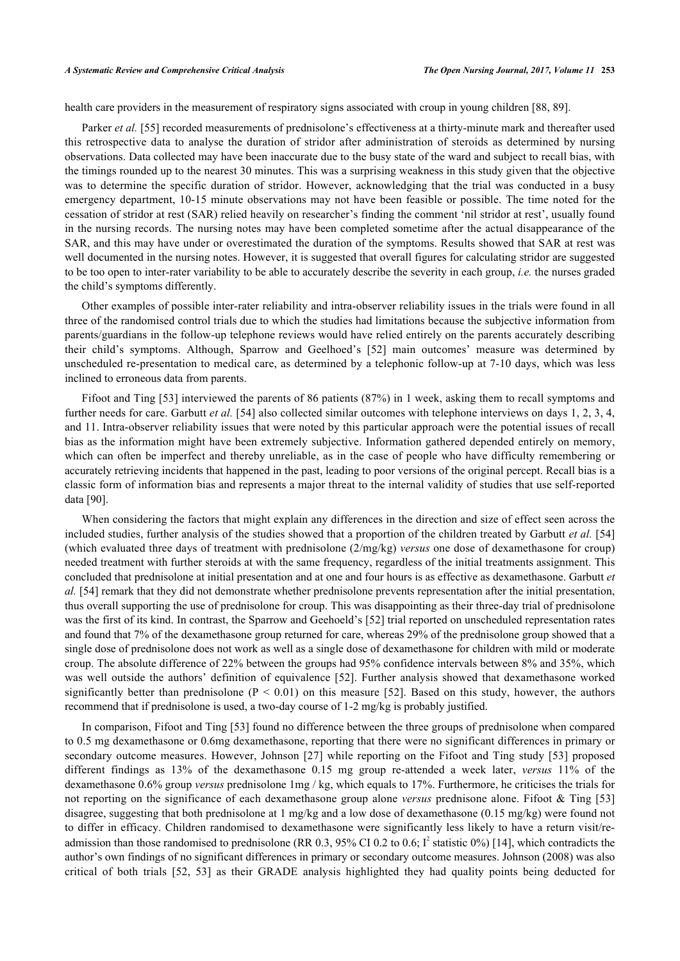health care providers in the measurement of respiratory signs associated with croup in young children [\[88](#page-19-15), [89](#page-19-16)].

Parker *et al.* [\[55](#page-18-8)] recorded measurements of prednisolone's effectiveness at a thirty-minute mark and thereafter used this retrospective data to analyse the duration of stridor after administration of steroids as determined by nursing observations. Data collected may have been inaccurate due to the busy state of the ward and subject to recall bias, with the timings rounded up to the nearest 30 minutes. This was a surprising weakness in this study given that the objective was to determine the specific duration of stridor. However, acknowledging that the trial was conducted in a busy emergency department, 10-15 minute observations may not have been feasible or possible. The time noted for the cessation of stridor at rest (SAR) relied heavily on researcher's finding the comment 'nil stridor at rest', usually found in the nursing records. The nursing notes may have been completed sometime after the actual disappearance of the SAR, and this may have under or overestimated the duration of the symptoms. Results showed that SAR at rest was well documented in the nursing notes. However, it is suggested that overall figures for calculating stridor are suggested to be too open to inter-rater variability to be able to accurately describe the severity in each group, *i.e.* the nurses graded the child's symptoms differently.

Other examples of possible inter-rater reliability and intra-observer reliability issues in the trials were found in all three of the randomised control trials due to which the studies had limitations because the subjective information from parents/guardians in the follow-up telephone reviews would have relied entirely on the parents accurately describing their child's symptoms. Although, Sparrow and Geelhoed's[[52](#page-18-5)] main outcomes' measure was determined by unscheduled re-presentation to medical care, as determined by a telephonic follow-up at 7-10 days, which was less inclined to erroneous data from parents.

Fifoot and Ting [[53\]](#page-18-6) interviewed the parents of 86 patients (87%) in 1 week, asking them to recall symptoms and further needs for care. Garbutt *et al.* [\[54](#page-18-7)] also collected similar outcomes with telephone interviews on days 1, 2, 3, 4, and 11. Intra-observer reliability issues that were noted by this particular approach were the potential issues of recall bias as the information might have been extremely subjective. Information gathered depended entirely on memory, which can often be imperfect and thereby unreliable, as in the case of people who have difficulty remembering or accurately retrieving incidents that happened in the past, leading to poor versions of the original percept. Recall bias is a classic form of information bias and represents a major threat to the internal validity of studies that use self-reported data [\[90](#page-19-17)].

When considering the factors that might explain any differences in the direction and size of effect seen across the included studies, further analysis of the studies showed that a proportion of the children treated by Garbutt *et al.* [[54](#page-18-7)] (which evaluated three days of treatment with prednisolone (2/mg/kg) *versus* one dose of dexamethasone for croup) needed treatment with further steroids at with the same frequency, regardless of the initial treatments assignment. This concluded that prednisolone at initial presentation and at one and four hours is as effective as dexamethasone. Garbutt *et al.* [[54\]](#page-18-7) remark that they did not demonstrate whether prednisolone prevents representation after the initial presentation, thus overall supporting the use of prednisolone for croup. This was disappointing as their three-day trial of prednisolone was the first of its kind. In contrast, the Sparrow and Geehoeld's [\[52](#page-18-5)] trial reported on unscheduled representation rates and found that 7% of the dexamethasone group returned for care, whereas 29% of the prednisolone group showed that a single dose of prednisolone does not work as well as a single dose of dexamethasone for children with mild or moderate croup. The absolute difference of 22% between the groups had 95% confidence intervals between 8% and 35%, which was well outside the authors' definition of equivalence [[52\]](#page-18-5). Further analysis showed that dexamethasone worked significantlybetter than prednisolone ( $P < 0.01$ ) on this measure [[52\]](#page-18-5). Based on this study, however, the authors recommend that if prednisolone is used, a two-day course of 1-2 mg/kg is probably justified.

In comparison, Fifoot and Ting [[53](#page-18-6)] found no difference between the three groups of prednisolone when compared to 0.5 mg dexamethasone or 0.6mg dexamethasone, reporting that there were no significant differences in primary or secondary outcome measures. However, Johnson [\[27](#page-16-23)] while reporting on the Fifoot and Ting study [[53](#page-18-6)] proposed different findings as 13% of the dexamethasone 0.15 mg group re-attended a week later, *versus* 11% of the dexamethasone 0.6% group *versus* prednisolone 1mg / kg, which equals to 17%. Furthermore, he criticises the trials for not reporting on the significance of each dexamethasone group alone *versus* prednisone alone. Fifoot & Ting [[53](#page-18-6)] disagree, suggesting that both prednisolone at 1 mg/kg and a low dose of dexamethasone (0.15 mg/kg) were found not to differ in efficacy. Children randomised to dexamethasone were significantly less likely to have a return visit/readmission than those randomised to prednisolone (RR 0.3, 95% CI 0.2 to 0.6;  $I^2$  statistic 0%) [[14\]](#page-16-11), which contradicts the author's own findings of no significant differences in primary or secondary outcome measures. Johnson (2008) was also critical of both trials[[52](#page-18-5), [53\]](#page-18-6) as their GRADE analysis highlighted they had quality points being deducted for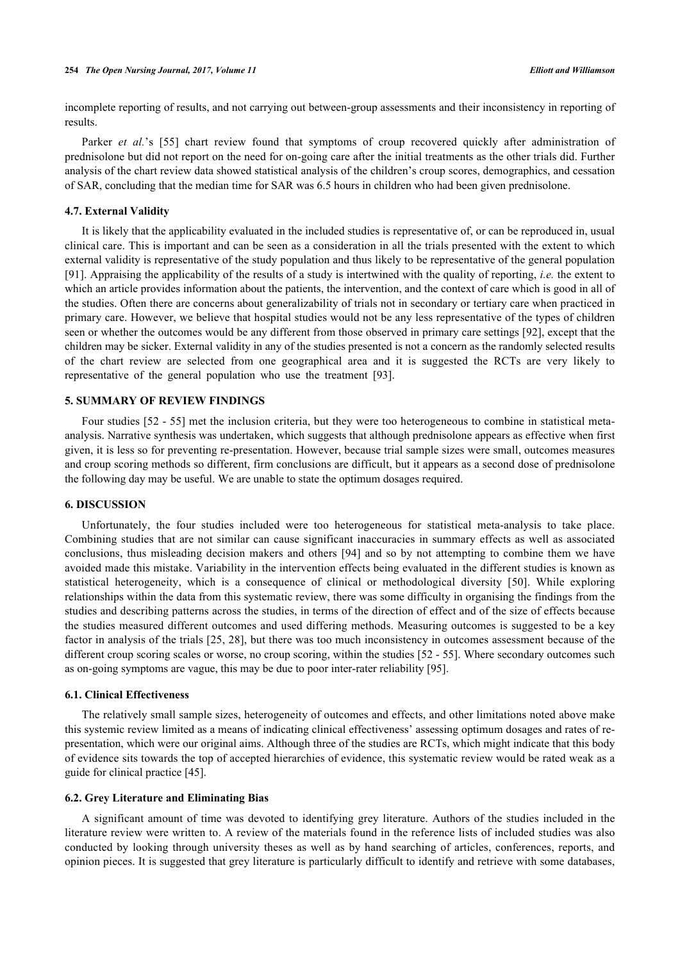incomplete reporting of results, and not carrying out between-group assessments and their inconsistency in reporting of results.

Parker*et al.*'s [[55](#page-18-8)] chart review found that symptoms of croup recovered quickly after administration of prednisolone but did not report on the need for on-going care after the initial treatments as the other trials did. Further analysis of the chart review data showed statistical analysis of the children's croup scores, demographics, and cessation of SAR, concluding that the median time for SAR was 6.5 hours in children who had been given prednisolone.

## **4.7. External Validity**

It is likely that the applicability evaluated in the included studies is representative of, or can be reproduced in, usual clinical care. This is important and can be seen as a consideration in all the trials presented with the extent to which external validity is representative of the study population and thus likely to be representative of the general population [\[91](#page-19-18)]. Appraising the applicability of the results of a study is intertwined with the quality of reporting, *i.e.* the extent to which an article provides information about the patients, the intervention, and the context of care which is good in all of the studies. Often there are concerns about generalizability of trials not in secondary or tertiary care when practiced in primary care. However, we believe that hospital studies would not be any less representative of the types of children seen or whether the outcomes would be any different from those observed in primary care settings [[92\]](#page-19-19), except that the children may be sicker. External validity in any of the studies presented is not a concern as the randomly selected results of the chart review are selected from one geographical area and it is suggested the RCTs are very likely to representative of the general population who use the treatment[[93\]](#page-19-20).

## **5. SUMMARY OF REVIEW FINDINGS**

Four studies [[52](#page-18-5) - [55](#page-18-8)] met the inclusion criteria, but they were too heterogeneous to combine in statistical metaanalysis. Narrative synthesis was undertaken, which suggests that although prednisolone appears as effective when first given, it is less so for preventing re-presentation. However, because trial sample sizes were small, outcomes measures and croup scoring methods so different, firm conclusions are difficult, but it appears as a second dose of prednisolone the following day may be useful. We are unable to state the optimum dosages required.

## **6. DISCUSSION**

Unfortunately, the four studies included were too heterogeneous for statistical meta-analysis to take place. Combining studies that are not similar can cause significant inaccuracies in summary effects as well as associated conclusions, thus misleading decision makers and others [\[94\]](#page-19-21) and so by not attempting to combine them we have avoided made this mistake. Variability in the intervention effects being evaluated in the different studies is known as statistical heterogeneity, which is a consequence of clinical or methodological diversity [\[50](#page-17-22)]. While exploring relationships within the data from this systematic review, there was some difficulty in organising the findings from the studies and describing patterns across the studies, in terms of the direction of effect and of the size of effects because the studies measured different outcomes and used differing methods. Measuring outcomes is suggested to be a key factor in analysis of the trials [\[25,](#page-16-22) [28](#page-17-0)], but there was too much inconsistency in outcomes assessment because of the different croup scoring scales or worse, no croup scoring, within the studies [[52](#page-18-5) - [55\]](#page-18-8). Where secondary outcomes such as on-going symptoms are vague, this may be due to poor inter-rater reliability [\[95](#page-19-22)].

#### **6.1. Clinical Effectiveness**

The relatively small sample sizes, heterogeneity of outcomes and effects, and other limitations noted above make this systemic review limited as a means of indicating clinical effectiveness' assessing optimum dosages and rates of representation, which were our original aims. Although three of the studies are RCTs, which might indicate that this body of evidence sits towards the top of accepted hierarchies of evidence, this systematic review would be rated weak as a guide for clinical practice [[45\]](#page-17-17).

## **6.2. Grey Literature and Eliminating Bias**

A significant amount of time was devoted to identifying grey literature. Authors of the studies included in the literature review were written to. A review of the materials found in the reference lists of included studies was also conducted by looking through university theses as well as by hand searching of articles, conferences, reports, and opinion pieces. It is suggested that grey literature is particularly difficult to identify and retrieve with some databases,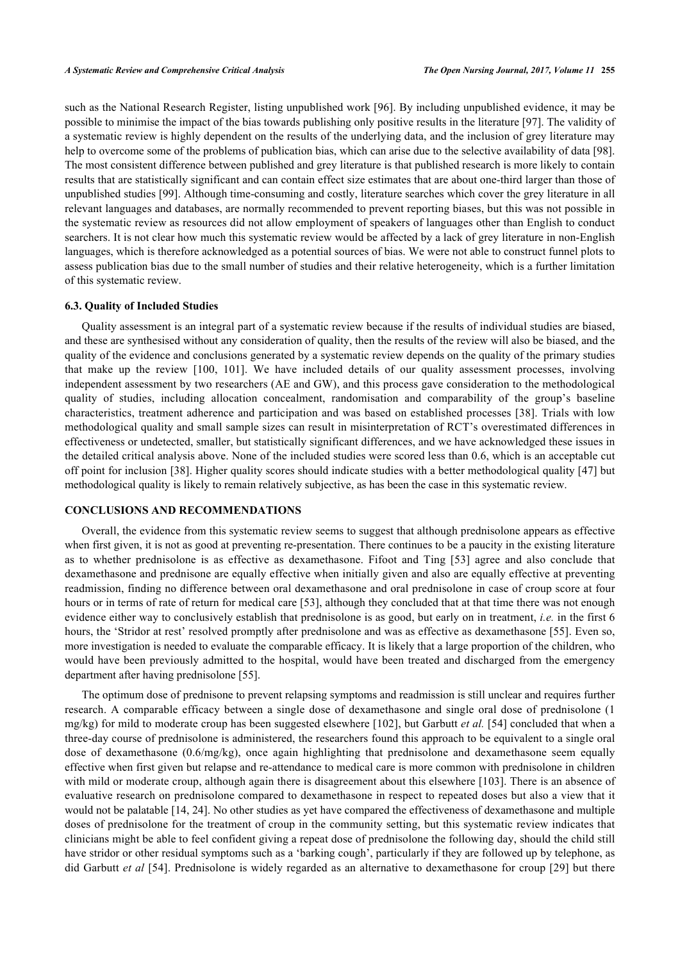such as the National Research Register, listing unpublished work [[96\]](#page-19-23). By including unpublished evidence, it may be possible to minimise the impact of the bias towards publishing only positive results in the literature [[97\]](#page-19-24). The validity of a systematic review is highly dependent on the results of the underlying data, and the inclusion of grey literature may help to overcome some of the problems of publication bias, which can arise due to the selective availability of data [[98\]](#page-20-0). The most consistent difference between published and grey literature is that published research is more likely to contain results that are statistically significant and can contain effect size estimates that are about one-third larger than those of unpublished studies [\[99](#page-20-1)]. Although time-consuming and costly, literature searches which cover the grey literature in all relevant languages and databases, are normally recommended to prevent reporting biases, but this was not possible in the systematic review as resources did not allow employment of speakers of languages other than English to conduct searchers. It is not clear how much this systematic review would be affected by a lack of grey literature in non-English languages, which is therefore acknowledged as a potential sources of bias. We were not able to construct funnel plots to assess publication bias due to the small number of studies and their relative heterogeneity, which is a further limitation of this systematic review.

## **6.3. Quality of Included Studies**

Quality assessment is an integral part of a systematic review because if the results of individual studies are biased, and these are synthesised without any consideration of quality, then the results of the review will also be biased, and the quality of the evidence and conclusions generated by a systematic review depends on the quality of the primary studies that make up the review[[100](#page-20-2), [101\]](#page-20-3). We have included details of our quality assessment processes, involving independent assessment by two researchers (AE and GW), and this process gave consideration to the methodological quality of studies, including allocation concealment, randomisation and comparability of the group's baseline characteristics, treatment adherence and participation and was based on established processes [[38\]](#page-17-10). Trials with low methodological quality and small sample sizes can result in misinterpretation of RCT's overestimated differences in effectiveness or undetected, smaller, but statistically significant differences, and we have acknowledged these issues in the detailed critical analysis above. None of the included studies were scored less than 0.6, which is an acceptable cut off point for inclusion [\[38\]](#page-17-10). Higher quality scores should indicate studies with a better methodological quality [[47\]](#page-17-19) but methodological quality is likely to remain relatively subjective, as has been the case in this systematic review.

## **CONCLUSIONS AND RECOMMENDATIONS**

Overall, the evidence from this systematic review seems to suggest that although prednisolone appears as effective when first given, it is not as good at preventing re-presentation. There continues to be a paucity in the existing literature as to whether prednisolone is as effective as dexamethasone. Fifoot and Ting[[53](#page-18-6)] agree and also conclude that dexamethasone and prednisone are equally effective when initially given and also are equally effective at preventing readmission, finding no difference between oral dexamethasone and oral prednisolone in case of croup score at four hours or in terms of rate of return for medical care [\[53](#page-18-6)], although they concluded that at that time there was not enough evidence either way to conclusively establish that prednisolone is as good, but early on in treatment, *i.e.* in the first 6 hours, the 'Stridor at rest' resolved promptly after prednisolone and was as effective as dexamethasone [[55\]](#page-18-8). Even so, more investigation is needed to evaluate the comparable efficacy. It is likely that a large proportion of the children, who would have been previously admitted to the hospital, would have been treated and discharged from the emergency department after having prednisolone [\[55](#page-18-8)].

The optimum dose of prednisone to prevent relapsing symptoms and readmission is still unclear and requires further research. A comparable efficacy between a single dose of dexamethasone and single oral dose of prednisolone (1 mg/kg) for mild to moderate croup has been suggested elsewhere [[102](#page-20-4)], but Garbutt *et al.* [\[54\]](#page-18-7) concluded that when a three-day course of prednisolone is administered, the researchers found this approach to be equivalent to a single oral dose of dexamethasone (0.6/mg/kg), once again highlighting that prednisolone and dexamethasone seem equally effective when first given but relapse and re-attendance to medical care is more common with prednisolone in children with mild or moderate croup, although again there is disagreement about this elsewhere [[103\]](#page-20-5). There is an absence of evaluative research on prednisolone compared to dexamethasone in respect to repeated doses but also a view that it would not be palatable [\[14](#page-16-11), [24](#page-16-21)]. No other studies as yet have compared the effectiveness of dexamethasone and multiple doses of prednisolone for the treatment of croup in the community setting, but this systematic review indicates that clinicians might be able to feel confident giving a repeat dose of prednisolone the following day, should the child still have stridor or other residual symptoms such as a 'barking cough', particularly if they are followed up by telephone, as did Garbutt *et al* [\[54](#page-18-7)]. Prednisolone is widely regarded as an alternative to dexamethasone for croup [[29\]](#page-17-1) but there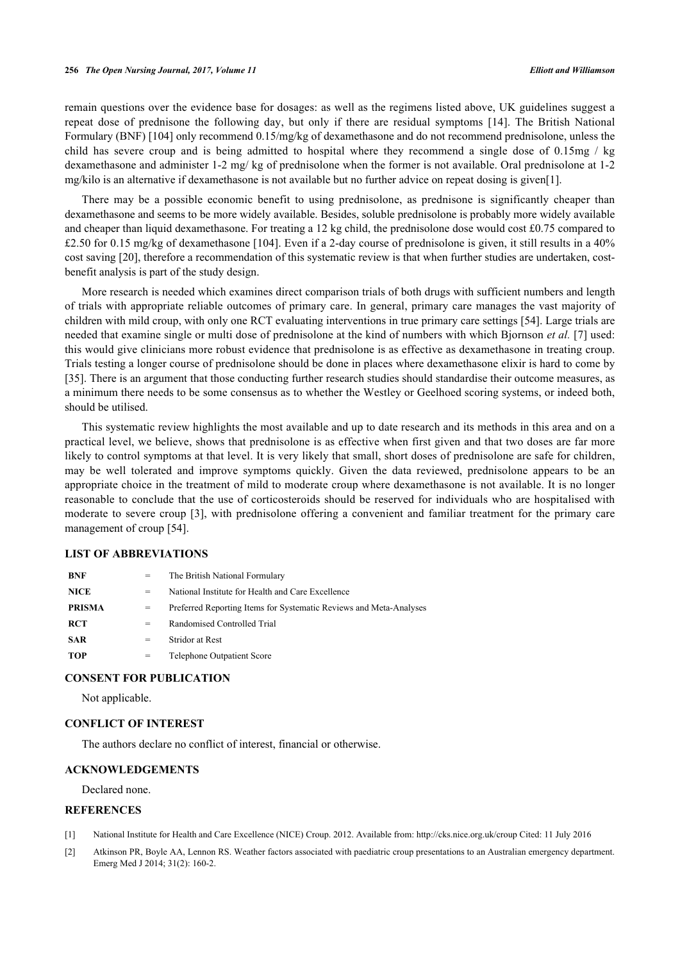#### **256** *The Open Nursing Journal, 2017, Volume 11 Elliott and Williamson*

remain questions over the evidence base for dosages: as well as the regimens listed above, UK guidelines suggest a repeat dose of prednisone the following day, but only if there are residual symptoms[[14](#page-16-11)]. The British National Formulary (BNF) [\[104](#page-20-6)] only recommend 0.15/mg/kg of dexamethasone and do not recommend prednisolone, unless the child has severe croup and is being admitted to hospital where they recommend a single dose of 0.15mg / kg dexamethasone and administer 1-2 mg/ kg of prednisolone when the former is not available. Oral prednisolone at 1-2 mg/kilo is an alternative if dexamethasone is not available but no further advice on repeat dosing is given[\[1](#page-15-0)].

There may be a possible economic benefit to using prednisolone, as prednisone is significantly cheaper than dexamethasone and seems to be more widely available. Besides, soluble prednisolone is probably more widely available and cheaper than liquid dexamethasone. For treating a 12 kg child, the prednisolone dose would cost £0.75 compared to £2.50 for 0.15 mg/kg of dexamethasone [\[104](#page-20-6)]. Even if a 2-day course of prednisolone is given, it still results in a 40% cost saving [\[20](#page-16-17)], therefore a recommendation of this systematic review is that when further studies are undertaken, costbenefit analysis is part of the study design.

More research is needed which examines direct comparison trials of both drugs with sufficient numbers and length of trials with appropriate reliable outcomes of primary care. In general, primary care manages the vast majority of children with mild croup, with only one RCT evaluating interventions in true primary care settings [\[54](#page-18-7)]. Large trials are needed that examine single or multi dose of prednisolone at the kind of numbers with which Bjornson *et al.* [[7\]](#page-16-4) used: this would give clinicians more robust evidence that prednisolone is as effective as dexamethasone in treating croup. Trials testing a longer course of prednisolone should be done in places where dexamethasone elixir is hard to come by [\[35](#page-17-7)]. There is an argument that those conducting further research studies should standardise their outcome measures, as a minimum there needs to be some consensus as to whether the Westley or Geelhoed scoring systems, or indeed both, should be utilised.

This systematic review highlights the most available and up to date research and its methods in this area and on a practical level, we believe, shows that prednisolone is as effective when first given and that two doses are far more likely to control symptoms at that level. It is very likely that small, short doses of prednisolone are safe for children, may be well tolerated and improve symptoms quickly. Given the data reviewed, prednisolone appears to be an appropriate choice in the treatment of mild to moderate croup where dexamethasone is not available. It is no longer reasonable to conclude that the use of corticosteroids should be reserved for individuals who are hospitalised with moderate to severe croup [\[3](#page-16-0)], with prednisolone offering a convenient and familiar treatment for the primary care management of croup [[54\]](#page-18-7).

## **LIST OF ABBREVIATIONS**

| <b>BNF</b>    | $=$ | The British National Formulary                                     |
|---------------|-----|--------------------------------------------------------------------|
| <b>NICE</b>   | $=$ | National Institute for Health and Care Excellence                  |
| <b>PRISMA</b> | $=$ | Preferred Reporting Items for Systematic Reviews and Meta-Analyses |
| <b>RCT</b>    | $=$ | Randomised Controlled Trial                                        |
| <b>SAR</b>    | $=$ | <b>Stridor at Rest</b>                                             |
| <b>TOP</b>    | =   | Telephone Outpatient Score                                         |

## **CONSENT FOR PUBLICATION**

Not applicable.

#### **CONFLICT OF INTEREST**

The authors declare no conflict of interest, financial or otherwise.

## **ACKNOWLEDGEMENTS**

Declared none.

## **REFERENCES**

- <span id="page-15-0"></span>[1] National Institute for Health and Care Excellence (NICE) Croup. 2012. Available from: <http://cks.nice.org.uk/croup>Cited: 11 July 2016
- <span id="page-15-1"></span>[2] Atkinson PR, Boyle AA, Lennon RS. Weather factors associated with paediatric croup presentations to an Australian emergency department. Emerg Med J 2014; 31(2): 160-2.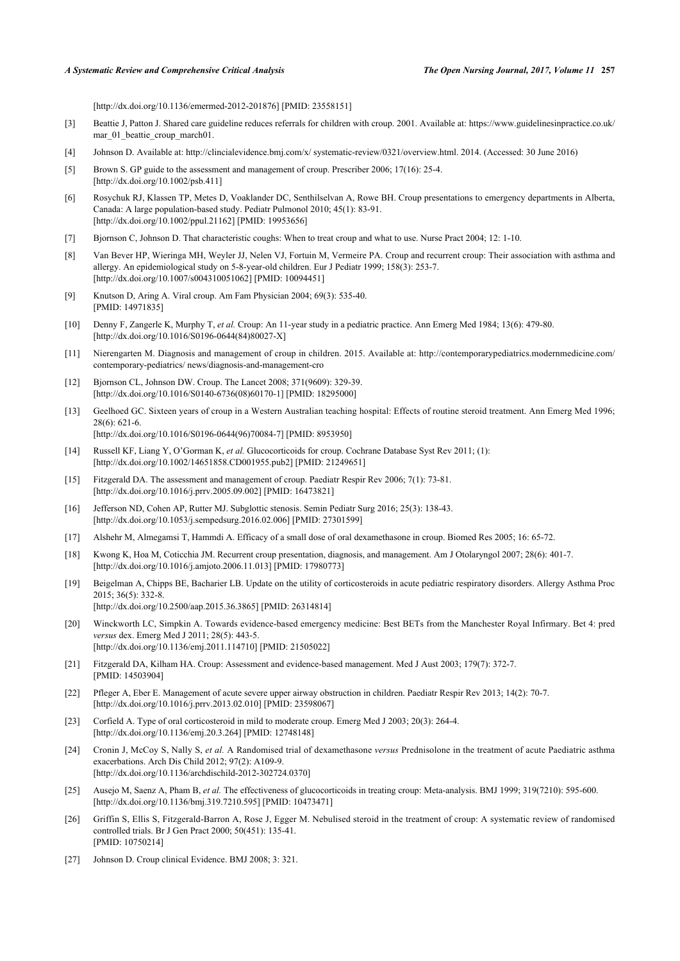[\[http://dx.doi.org/10.1136/emermed-2012-201876\]](http://dx.doi.org/10.1136/emermed-2012-201876) [PMID: [23558151](http://www.ncbi.nlm.nih.gov/pubmed/23558151)]

- <span id="page-16-0"></span>[3] Beattie J, Patton J. Shared care guideline reduces referrals for children with croup. 2001. Available at: [https://www.guidelinesinpractice.co.uk/](https://www.guidelinesinpractice.co.uk/mar_01_beattie_croup_march01) [mar\\_01\\_beattie\\_croup\\_march01.](https://www.guidelinesinpractice.co.uk/mar_01_beattie_croup_march01)
- <span id="page-16-1"></span>[4] Johnson D. Available at: [http://clincialevidence.bmj.com/x/ systematic-review/0321/overview.html.](http://clincialevidence.bmj.com/x/systematic-review/0321/overview.html) 2014. (Accessed: 30 June 2016)
- <span id="page-16-2"></span>[5] Brown S. GP guide to the assessment and management of croup. Prescriber 2006; 17(16): 25-4. [\[http://dx.doi.org/10.1002/psb.411\]](http://dx.doi.org/10.1002/psb.411)
- <span id="page-16-3"></span>[6] Rosychuk RJ, Klassen TP, Metes D, Voaklander DC, Senthilselvan A, Rowe BH. Croup presentations to emergency departments in Alberta, Canada: A large population-based study. Pediatr Pulmonol 2010; 45(1): 83-91. [\[http://dx.doi.org/10.1002/ppul.21162](http://dx.doi.org/10.1002/ppul.21162)] [PMID: [19953656\]](http://www.ncbi.nlm.nih.gov/pubmed/19953656)
- <span id="page-16-4"></span>[7] Bjornson C, Johnson D. That characteristic coughs: When to treat croup and what to use. Nurse Pract 2004; 12: 1-10.
- <span id="page-16-5"></span>[8] Van Bever HP, Wieringa MH, Weyler JJ, Nelen VJ, Fortuin M, Vermeire PA. Croup and recurrent croup: Their association with asthma and allergy. An epidemiological study on 5-8-year-old children. Eur J Pediatr 1999; 158(3): 253-7. [\[http://dx.doi.org/10.1007/s004310051062\]](http://dx.doi.org/10.1007/s004310051062) [PMID: [10094451](http://www.ncbi.nlm.nih.gov/pubmed/10094451)]
- <span id="page-16-6"></span>[9] Knutson D, Aring A. Viral croup. Am Fam Physician 2004; 69(3): 535-40. [PMID: [14971835\]](http://www.ncbi.nlm.nih.gov/pubmed/14971835)
- <span id="page-16-7"></span>[10] Denny F, Zangerle K, Murphy T, *et al.* Croup: An 11-year study in a pediatric practice. Ann Emerg Med 1984; 13(6): 479-80. [\[http://dx.doi.org/10.1016/S0196-0644\(84\)80027-X\]](http://dx.doi.org/10.1016/S0196-0644(84)80027-X)
- <span id="page-16-8"></span>[11] Nierengarten M. Diagnosis and management of croup in children. 2015. Available at: [http://contemporarypediatrics.modernmedicine.com/](http://contemporarypediatrics.modernmedicine.com/contemporary-pediatrics/news/diagnosis-and-management-cro) [contemporary-pediatrics/ news/diagnosis-and-management-cro](http://contemporarypediatrics.modernmedicine.com/contemporary-pediatrics/news/diagnosis-and-management-cro)
- <span id="page-16-9"></span>[12] Bjornson CL, Johnson DW. Croup. The Lancet 2008; 371(9609): 329-39. [\[http://dx.doi.org/10.1016/S0140-6736\(08\)60170-1\]](http://dx.doi.org/10.1016/S0140-6736(08)60170-1) [PMID: [18295000](http://www.ncbi.nlm.nih.gov/pubmed/18295000)]
- <span id="page-16-10"></span>[13] Geelhoed GC. Sixteen years of croup in a Western Australian teaching hospital: Effects of routine steroid treatment. Ann Emerg Med 1996; 28(6): 621-6. [\[http://dx.doi.org/10.1016/S0196-0644\(96\)70084-7\]](http://dx.doi.org/10.1016/S0196-0644(96)70084-7) [PMID: [8953950](http://www.ncbi.nlm.nih.gov/pubmed/8953950)]
- <span id="page-16-11"></span>[14] Russell KF, Liang Y, O'Gorman K, *et al.* Glucocorticoids for croup. Cochrane Database Syst Rev 2011; (1): [\[http://dx.doi.org/10.1002/14651858.CD001955.pub2\]](http://dx.doi.org/10.1002/14651858.CD001955.pub2) [PMID: [21249651](http://www.ncbi.nlm.nih.gov/pubmed/21249651)]
- <span id="page-16-12"></span>[15] Fitzgerald DA. The assessment and management of croup. Paediatr Respir Rev 2006; 7(1): 73-81. [\[http://dx.doi.org/10.1016/j.prrv.2005.09.002](http://dx.doi.org/10.1016/j.prrv.2005.09.002)] [PMID: [16473821\]](http://www.ncbi.nlm.nih.gov/pubmed/16473821)
- <span id="page-16-13"></span>[16] Jefferson ND, Cohen AP, Rutter MJ. Subglottic stenosis. Semin Pediatr Surg 2016; 25(3): 138-43. [\[http://dx.doi.org/10.1053/j.sempedsurg.2016.02.006](http://dx.doi.org/10.1053/j.sempedsurg.2016.02.006)] [PMID: [27301599\]](http://www.ncbi.nlm.nih.gov/pubmed/27301599)
- <span id="page-16-14"></span>[17] Alshehr M, Almegamsi T, Hammdi A. Efficacy of a small dose of oral dexamethasone in croup. Biomed Res 2005; 16: 65-72.
- <span id="page-16-15"></span>[18] Kwong K, Hoa M, Coticchia JM. Recurrent croup presentation, diagnosis, and management. Am J Otolaryngol 2007; 28(6): 401-7. [\[http://dx.doi.org/10.1016/j.amjoto.2006.11.013](http://dx.doi.org/10.1016/j.amjoto.2006.11.013)] [PMID: [17980773\]](http://www.ncbi.nlm.nih.gov/pubmed/17980773)
- <span id="page-16-16"></span>[19] Beigelman A, Chipps BE, Bacharier LB. Update on the utility of corticosteroids in acute pediatric respiratory disorders. Allergy Asthma Proc 2015; 36(5): 332-8. [\[http://dx.doi.org/10.2500/aap.2015.36.3865\]](http://dx.doi.org/10.2500/aap.2015.36.3865) [PMID: [26314814](http://www.ncbi.nlm.nih.gov/pubmed/26314814)]
- <span id="page-16-17"></span>[20] Winckworth LC, Simpkin A. Towards evidence-based emergency medicine: Best BETs from the Manchester Royal Infirmary. Bet 4: pred *versus* dex. Emerg Med J 2011; 28(5): 443-5. [\[http://dx.doi.org/10.1136/emj.2011.114710\]](http://dx.doi.org/10.1136/emj.2011.114710) [PMID: [21505022](http://www.ncbi.nlm.nih.gov/pubmed/21505022)]
- <span id="page-16-18"></span>[21] Fitzgerald DA, Kilham HA. Croup: Assessment and evidence-based management. Med J Aust 2003; 179(7): 372-7. [PMID: [14503904\]](http://www.ncbi.nlm.nih.gov/pubmed/14503904)
- <span id="page-16-19"></span>[22] Pfleger A, Eber E. Management of acute severe upper airway obstruction in children. Paediatr Respir Rev 2013; 14(2): 70-7. [\[http://dx.doi.org/10.1016/j.prrv.2013.02.010](http://dx.doi.org/10.1016/j.prrv.2013.02.010)] [PMID: [23598067\]](http://www.ncbi.nlm.nih.gov/pubmed/23598067)
- <span id="page-16-20"></span>[23] Corfield A. Type of oral corticosteroid in mild to moderate croup. Emerg Med J 2003; 20(3): 264-4. [\[http://dx.doi.org/10.1136/emj.20.3.264\]](http://dx.doi.org/10.1136/emj.20.3.264) [PMID: [12748148](http://www.ncbi.nlm.nih.gov/pubmed/12748148)]
- <span id="page-16-21"></span>[24] Cronin J, McCoy S, Nally S, *et al.* A Randomised trial of dexamethasone *versus* Prednisolone in the treatment of acute Paediatric asthma exacerbations. Arch Dis Child 2012; 97(2): A109-9. [\[http://dx.doi.org/10.1136/archdischild-2012-302724.0370](http://dx.doi.org/10.1136/archdischild-2012-302724.0370)]
- <span id="page-16-22"></span>[25] Ausejo M, Saenz A, Pham B, *et al.* The effectiveness of glucocorticoids in treating croup: Meta-analysis. BMJ 1999; 319(7210): 595-600. [\[http://dx.doi.org/10.1136/bmj.319.7210.595](http://dx.doi.org/10.1136/bmj.319.7210.595)] [PMID: [10473471\]](http://www.ncbi.nlm.nih.gov/pubmed/10473471)
- [26] Griffin S, Ellis S, Fitzgerald-Barron A, Rose J, Egger M. Nebulised steroid in the treatment of croup: A systematic review of randomised controlled trials. Br J Gen Pract 2000; 50(451): 135-41. [PMID: [10750214\]](http://www.ncbi.nlm.nih.gov/pubmed/10750214)
- <span id="page-16-23"></span>[27] Johnson D. Croup clinical Evidence. BMJ 2008; 3: 321.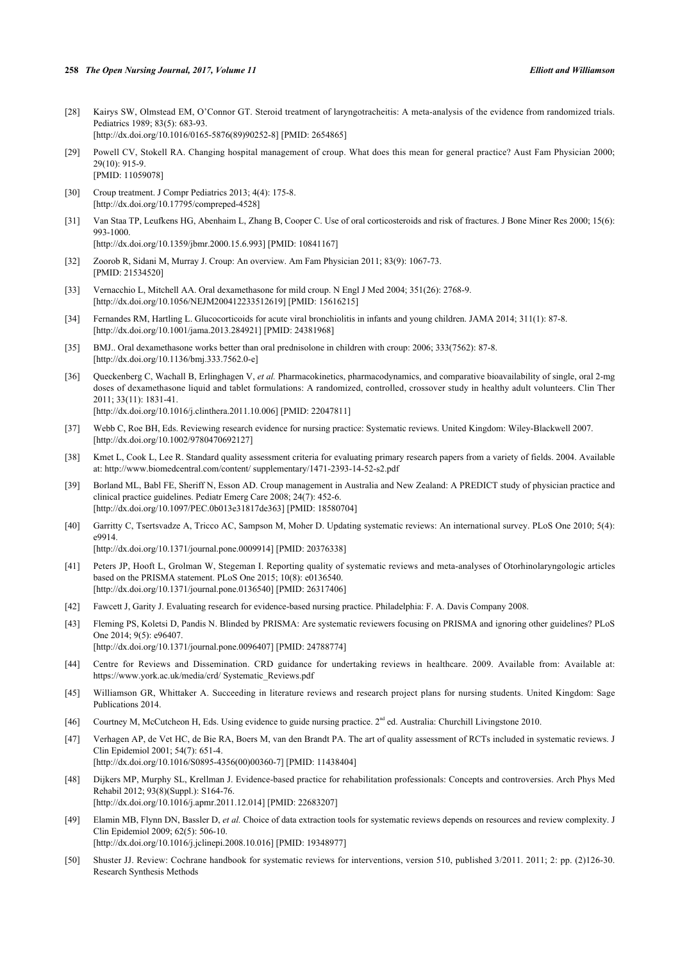- <span id="page-17-0"></span>[28] Kairys SW, Olmstead EM, O'Connor GT. Steroid treatment of laryngotracheitis: A meta-analysis of the evidence from randomized trials. Pediatrics 1989; 83(5): 683-93. [\[http://dx.doi.org/10.1016/0165-5876\(89\)90252-8](http://dx.doi.org/10.1016/0165-5876(89)90252-8)] [PMID: [2654865](http://www.ncbi.nlm.nih.gov/pubmed/2654865)]
- <span id="page-17-1"></span>[29] Powell CV, Stokell RA. Changing hospital management of croup. What does this mean for general practice? Aust Fam Physician 2000; 29(10): 915-9. [PMID: [11059078\]](http://www.ncbi.nlm.nih.gov/pubmed/11059078)
- <span id="page-17-2"></span>[30] Croup treatment. J Compr Pediatrics 2013; 4(4): 175-8. [\[http://dx.doi.org/10.17795/compreped-4528](http://dx.doi.org/10.17795/compreped-4528)]
- <span id="page-17-3"></span>[31] Van Staa TP, Leufkens HG, Abenhaim L, Zhang B, Cooper C. Use of oral corticosteroids and risk of fractures. J Bone Miner Res 2000; 15(6): 993-1000.

[\[http://dx.doi.org/10.1359/jbmr.2000.15.6.993\]](http://dx.doi.org/10.1359/jbmr.2000.15.6.993) [PMID: [10841167](http://www.ncbi.nlm.nih.gov/pubmed/10841167)]

- <span id="page-17-4"></span>[32] Zoorob R, Sidani M, Murray J. Croup: An overview. Am Fam Physician 2011; 83(9): 1067-73. [PMID: [21534520\]](http://www.ncbi.nlm.nih.gov/pubmed/21534520)
- <span id="page-17-5"></span>[33] Vernacchio L, Mitchell AA. Oral dexamethasone for mild croup. N Engl J Med 2004; 351(26): 2768-9. [\[http://dx.doi.org/10.1056/NEJM200412233512619\]](http://dx.doi.org/10.1056/NEJM200412233512619) [PMID: [15616215](http://www.ncbi.nlm.nih.gov/pubmed/15616215)]
- <span id="page-17-6"></span>[34] Fernandes RM, Hartling L. Glucocorticoids for acute viral bronchiolitis in infants and young children. JAMA 2014; 311(1): 87-8. [\[http://dx.doi.org/10.1001/jama.2013.284921](http://dx.doi.org/10.1001/jama.2013.284921)] [PMID: [24381968\]](http://www.ncbi.nlm.nih.gov/pubmed/24381968)
- <span id="page-17-7"></span>[35] BMJ.. Oral dexamethasone works better than oral prednisolone in children with croup: 2006; 333(7562): 87-8. [\[http://dx.doi.org/10.1136/bmj.333.7562.0-e](http://dx.doi.org/10.1136/bmj.333.7562.0-e)]
- <span id="page-17-8"></span>[36] Queckenberg C, Wachall B, Erlinghagen V, *et al.* Pharmacokinetics, pharmacodynamics, and comparative bioavailability of single, oral 2-mg doses of dexamethasone liquid and tablet formulations: A randomized, controlled, crossover study in healthy adult volunteers. Clin Ther 2011; 33(11): 1831-41. [\[http://dx.doi.org/10.1016/j.clinthera.2011.10.006](http://dx.doi.org/10.1016/j.clinthera.2011.10.006)] [PMID: [22047811\]](http://www.ncbi.nlm.nih.gov/pubmed/22047811)
- <span id="page-17-9"></span>[37] Webb C, Roe BH, Eds. Reviewing research evidence for nursing practice: Systematic reviews. United Kingdom: Wiley-Blackwell 2007. [\[http://dx.doi.org/10.1002/9780470692127\]](http://dx.doi.org/10.1002/9780470692127)
- <span id="page-17-10"></span>[38] Kmet L, Cook L, Lee R. Standard quality assessment criteria for evaluating primary research papers from a variety of fields. 2004. Available at: [http://www.biomedcentral.com/content/ supplementary/1471-2393-14-52-s2.pdf](http://www.biomedcentral.com/content/supplementary/1471-2393-14-52-s2.pdf)
- <span id="page-17-11"></span>[39] Borland ML, Babl FE, Sheriff N, Esson AD. Croup management in Australia and New Zealand: A PREDICT study of physician practice and clinical practice guidelines. Pediatr Emerg Care 2008; 24(7): 452-6. [\[http://dx.doi.org/10.1097/PEC.0b013e31817de363\]](http://dx.doi.org/10.1097/PEC.0b013e31817de363) [PMID: [18580704](http://www.ncbi.nlm.nih.gov/pubmed/18580704)]
- <span id="page-17-12"></span>[40] Garritty C, Tsertsvadze A, Tricco AC, Sampson M, Moher D. Updating systematic reviews: An international survey. PLoS One 2010; 5(4): e9914. [\[http://dx.doi.org/10.1371/journal.pone.0009914](http://dx.doi.org/10.1371/journal.pone.0009914)] [PMID: [20376338\]](http://www.ncbi.nlm.nih.gov/pubmed/20376338)
- <span id="page-17-13"></span>[41] Peters JP, Hooft L, Grolman W, Stegeman I. Reporting quality of systematic reviews and meta-analyses of Otorhinolaryngologic articles based on the PRISMA statement. PLoS One 2015; 10(8): e0136540. [\[http://dx.doi.org/10.1371/journal.pone.0136540](http://dx.doi.org/10.1371/journal.pone.0136540)] [PMID: [26317406\]](http://www.ncbi.nlm.nih.gov/pubmed/26317406)
- <span id="page-17-14"></span>[42] Fawcett J, Garity J. Evaluating research for evidence-based nursing practice. Philadelphia: F. A. Davis Company 2008.
- <span id="page-17-15"></span>[43] Fleming PS, Koletsi D, Pandis N. Blinded by PRISMA: Are systematic reviewers focusing on PRISMA and ignoring other guidelines? PLoS One 2014; 9(5): e96407. [\[http://dx.doi.org/10.1371/journal.pone.0096407](http://dx.doi.org/10.1371/journal.pone.0096407)] [PMID: [24788774\]](http://www.ncbi.nlm.nih.gov/pubmed/24788774)
- <span id="page-17-16"></span>[44] Centre for Reviews and Dissemination. CRD guidance for undertaking reviews in healthcare. 2009. Available from: [Available at:](https://www.york.ac.uk/media/crd/Systematic_Reviews.pdf) [https://www.york.ac.uk/media/crd/ Systematic\\_Reviews.pdf](https://www.york.ac.uk/media/crd/Systematic_Reviews.pdf)
- <span id="page-17-17"></span>[45] Williamson GR, Whittaker A. Succeeding in literature reviews and research project plans for nursing students. United Kingdom: Sage Publications 2014.
- <span id="page-17-18"></span>[46] Courtney M, McCutcheon H, Eds. Using evidence to guide nursing practice. 2nd ed. Australia: Churchill Livingstone 2010.
- <span id="page-17-19"></span>[47] Verhagen AP, de Vet HC, de Bie RA, Boers M, van den Brandt PA. The art of quality assessment of RCTs included in systematic reviews. J Clin Epidemiol 2001; 54(7): 651-4. [\[http://dx.doi.org/10.1016/S0895-4356\(00\)00360-7\]](http://dx.doi.org/10.1016/S0895-4356(00)00360-7) [PMID: [11438404](http://www.ncbi.nlm.nih.gov/pubmed/11438404)]
- <span id="page-17-20"></span>[48] Dijkers MP, Murphy SL, Krellman J. Evidence-based practice for rehabilitation professionals: Concepts and controversies. Arch Phys Med Rehabil 2012; 93(8)(Suppl.): S164-76. [\[http://dx.doi.org/10.1016/j.apmr.2011.12.014](http://dx.doi.org/10.1016/j.apmr.2011.12.014)] [PMID: [22683207](http://www.ncbi.nlm.nih.gov/pubmed/22683207)]
- <span id="page-17-21"></span>[49] Elamin MB, Flynn DN, Bassler D, *et al.* Choice of data extraction tools for systematic reviews depends on resources and review complexity. J Clin Epidemiol 2009; 62(5): 506-10. [\[http://dx.doi.org/10.1016/j.jclinepi.2008.10.016](http://dx.doi.org/10.1016/j.jclinepi.2008.10.016)] [PMID: [19348977\]](http://www.ncbi.nlm.nih.gov/pubmed/19348977)
- <span id="page-17-22"></span>[50] Shuster JJ. Review: Cochrane handbook for systematic reviews for interventions, version 510, published 3/2011. 2011; 2: pp. (2)126-30. Research Synthesis Methods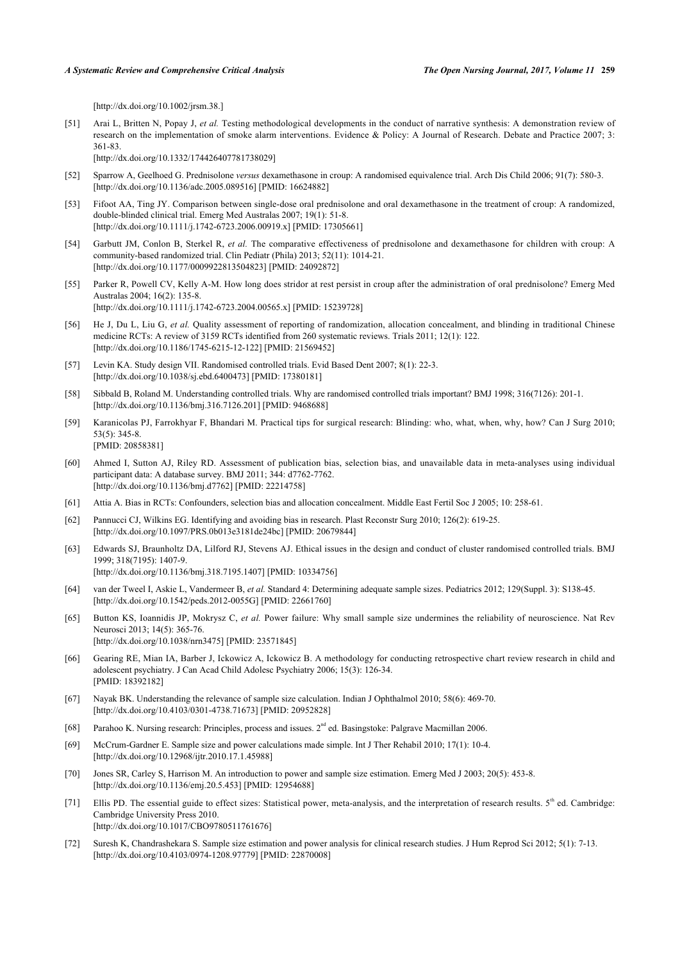[\[http://dx.doi.org/10.1002/jrsm.38.](http://dx.doi.org/10.1002/jrsm.38.)]

<span id="page-18-0"></span>[51] Arai L, Britten N, Popay J, et al. Testing methodological developments in the conduct of narrative synthesis: A demonstration review of research on the implementation of smoke alarm interventions. Evidence & Policy: A Journal of Research. Debate and Practice 2007; 3: 361-83.

[\[http://dx.doi.org/10.1332/174426407781738029\]](http://dx.doi.org/10.1332/174426407781738029)

- <span id="page-18-5"></span>[52] Sparrow A, Geelhoed G. Prednisolone *versus* dexamethasone in croup: A randomised equivalence trial. Arch Dis Child 2006; 91(7): 580-3. [\[http://dx.doi.org/10.1136/adc.2005.089516\]](http://dx.doi.org/10.1136/adc.2005.089516) [PMID: [16624882](http://www.ncbi.nlm.nih.gov/pubmed/16624882)]
- <span id="page-18-6"></span>[53] Fifoot AA, Ting JY. Comparison between single-dose oral prednisolone and oral dexamethasone in the treatment of croup: A randomized, double-blinded clinical trial. Emerg Med Australas 2007; 19(1): 51-8. [\[http://dx.doi.org/10.1111/j.1742-6723.2006.00919.x\]](http://dx.doi.org/10.1111/j.1742-6723.2006.00919.x) [PMID: [17305661](http://www.ncbi.nlm.nih.gov/pubmed/17305661)]
- <span id="page-18-7"></span>[54] Garbutt JM, Conlon B, Sterkel R, *et al.* The comparative effectiveness of prednisolone and dexamethasone for children with croup: A community-based randomized trial. Clin Pediatr (Phila) 2013; 52(11): 1014-21. [\[http://dx.doi.org/10.1177/0009922813504823\]](http://dx.doi.org/10.1177/0009922813504823) [PMID: [24092872](http://www.ncbi.nlm.nih.gov/pubmed/24092872)]
- <span id="page-18-8"></span>[55] Parker R, Powell CV, Kelly A-M. How long does stridor at rest persist in croup after the administration of oral prednisolone? Emerg Med Australas 2004; 16(2): 135-8. [\[http://dx.doi.org/10.1111/j.1742-6723.2004.00565.x\]](http://dx.doi.org/10.1111/j.1742-6723.2004.00565.x) [PMID: [15239728](http://www.ncbi.nlm.nih.gov/pubmed/15239728)]
- <span id="page-18-1"></span>[56] He J, Du L, Liu G, *et al.* Quality assessment of reporting of randomization, allocation concealment, and blinding in traditional Chinese medicine RCTs: A review of 3159 RCTs identified from 260 systematic reviews. Trials 2011; 12(1): 122. [\[http://dx.doi.org/10.1186/1745-6215-12-122\]](http://dx.doi.org/10.1186/1745-6215-12-122) [PMID: [21569452](http://www.ncbi.nlm.nih.gov/pubmed/21569452)]
- <span id="page-18-2"></span>[57] Levin KA. Study design VII. Randomised controlled trials. Evid Based Dent 2007; 8(1): 22-3. [\[http://dx.doi.org/10.1038/sj.ebd.6400473\]](http://dx.doi.org/10.1038/sj.ebd.6400473) [PMID: [17380181](http://www.ncbi.nlm.nih.gov/pubmed/17380181)]
- <span id="page-18-3"></span>[58] Sibbald B, Roland M. Understanding controlled trials. Why are randomised controlled trials important? BMJ 1998; 316(7126): 201-1. [\[http://dx.doi.org/10.1136/bmj.316.7126.201](http://dx.doi.org/10.1136/bmj.316.7126.201)] [PMID: [9468688\]](http://www.ncbi.nlm.nih.gov/pubmed/9468688)
- <span id="page-18-4"></span>[59] Karanicolas PJ, Farrokhyar F, Bhandari M. Practical tips for surgical research: Blinding: who, what, when, why, how? Can J Surg 2010; 53(5): 345-8. [PMID: [20858381\]](http://www.ncbi.nlm.nih.gov/pubmed/20858381)
- <span id="page-18-9"></span>[60] Ahmed I, Sutton AJ, Riley RD. Assessment of publication bias, selection bias, and unavailable data in meta-analyses using individual participant data: A database survey. BMJ 2011; 344: d7762-7762. [\[http://dx.doi.org/10.1136/bmj.d7762](http://dx.doi.org/10.1136/bmj.d7762)] [PMID: [22214758\]](http://www.ncbi.nlm.nih.gov/pubmed/22214758)
- <span id="page-18-10"></span>[61] Attia A. Bias in RCTs: Confounders, selection bias and allocation concealment. Middle East Fertil Soc J 2005; 10: 258-61.
- <span id="page-18-11"></span>[62] Pannucci CJ, Wilkins EG. Identifying and avoiding bias in research. Plast Reconstr Surg 2010; 126(2): 619-25. [\[http://dx.doi.org/10.1097/PRS.0b013e3181de24bc\]](http://dx.doi.org/10.1097/PRS.0b013e3181de24bc) [PMID: [20679844](http://www.ncbi.nlm.nih.gov/pubmed/20679844)]
- <span id="page-18-12"></span>[63] Edwards SJ, Braunholtz DA, Lilford RJ, Stevens AJ. Ethical issues in the design and conduct of cluster randomised controlled trials. BMJ 1999; 318(7195): 1407-9. [\[http://dx.doi.org/10.1136/bmj.318.7195.1407](http://dx.doi.org/10.1136/bmj.318.7195.1407)] [PMID: [10334756\]](http://www.ncbi.nlm.nih.gov/pubmed/10334756)
- <span id="page-18-13"></span>[64] van der Tweel I, Askie L, Vandermeer B, *et al.* Standard 4: Determining adequate sample sizes. Pediatrics 2012; 129(Suppl. 3): S138-45. [\[http://dx.doi.org/10.1542/peds.2012-0055G\]](http://dx.doi.org/10.1542/peds.2012-0055G) [PMID: [22661760](http://www.ncbi.nlm.nih.gov/pubmed/22661760)]
- <span id="page-18-14"></span>[65] Button KS, Ioannidis JP, Mokrysz C, *et al.* Power failure: Why small sample size undermines the reliability of neuroscience. Nat Rev Neurosci 2013; 14(5): 365-76. [\[http://dx.doi.org/10.1038/nrn3475](http://dx.doi.org/10.1038/nrn3475)] [PMID: [23571845](http://www.ncbi.nlm.nih.gov/pubmed/23571845)]
- <span id="page-18-15"></span>[66] Gearing RE, Mian IA, Barber J, Ickowicz A, Ickowicz B. A methodology for conducting retrospective chart review research in child and adolescent psychiatry. J Can Acad Child Adolesc Psychiatry 2006; 15(3): 126-34. [PMID: [18392182\]](http://www.ncbi.nlm.nih.gov/pubmed/18392182)
- <span id="page-18-16"></span>[67] Nayak BK. Understanding the relevance of sample size calculation. Indian J Ophthalmol 2010; 58(6): 469-70. [\[http://dx.doi.org/10.4103/0301-4738.71673](http://dx.doi.org/10.4103/0301-4738.71673)] [PMID: [20952828](http://www.ncbi.nlm.nih.gov/pubmed/20952828)]
- <span id="page-18-17"></span>[68] Parahoo K. Nursing research: Principles, process and issues. 2nd ed. Basingstoke: Palgrave Macmillan 2006.
- <span id="page-18-18"></span>[69] McCrum-Gardner E. Sample size and power calculations made simple. Int J Ther Rehabil 2010; 17(1): 10-4. [\[http://dx.doi.org/10.12968/ijtr.2010.17.1.45988](http://dx.doi.org/10.12968/ijtr.2010.17.1.45988)]
- <span id="page-18-19"></span>[70] Jones SR, Carley S, Harrison M. An introduction to power and sample size estimation. Emerg Med J 2003; 20(5): 453-8. [\[http://dx.doi.org/10.1136/emj.20.5.453\]](http://dx.doi.org/10.1136/emj.20.5.453) [PMID: [12954688](http://www.ncbi.nlm.nih.gov/pubmed/12954688)]
- <span id="page-18-20"></span>[71] Ellis PD. The essential guide to effect sizes: Statistical power, meta-analysis, and the interpretation of research results. 5<sup>th</sup> ed. Cambridge: Cambridge University Press 2010. [\[http://dx.doi.org/10.1017/CBO9780511761676](http://dx.doi.org/10.1017/CBO9780511761676)]
- <span id="page-18-21"></span>[72] Suresh K, Chandrashekara S. Sample size estimation and power analysis for clinical research studies. J Hum Reprod Sci 2012; 5(1): 7-13. [\[http://dx.doi.org/10.4103/0974-1208.97779](http://dx.doi.org/10.4103/0974-1208.97779)] [PMID: [22870008](http://www.ncbi.nlm.nih.gov/pubmed/22870008)]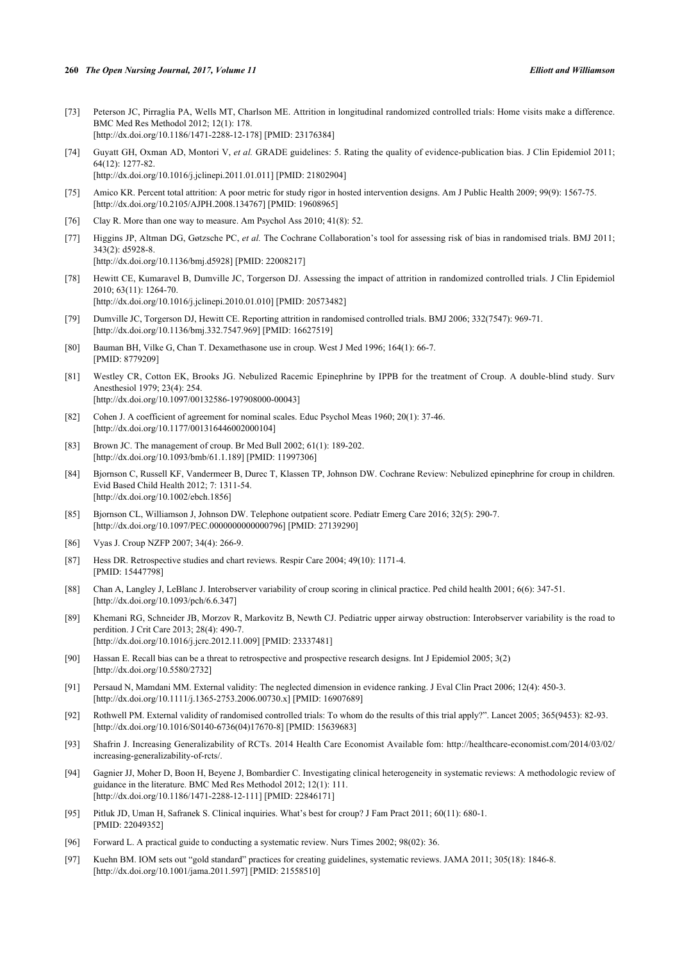- <span id="page-19-0"></span>[73] Peterson JC, Pirraglia PA, Wells MT, Charlson ME. Attrition in longitudinal randomized controlled trials: Home visits make a difference. BMC Med Res Methodol 2012; 12(1): 178. [\[http://dx.doi.org/10.1186/1471-2288-12-178\]](http://dx.doi.org/10.1186/1471-2288-12-178) [PMID: [23176384](http://www.ncbi.nlm.nih.gov/pubmed/23176384)]
- <span id="page-19-1"></span>[74] Guyatt GH, Oxman AD, Montori V, *et al.* GRADE guidelines: 5. Rating the quality of evidence-publication bias. J Clin Epidemiol 2011; 64(12): 1277-82. [\[http://dx.doi.org/10.1016/j.jclinepi.2011.01.011](http://dx.doi.org/10.1016/j.jclinepi.2011.01.011)] [PMID: [21802904\]](http://www.ncbi.nlm.nih.gov/pubmed/21802904)
- <span id="page-19-2"></span>[75] Amico KR. Percent total attrition: A poor metric for study rigor in hosted intervention designs. Am J Public Health 2009; 99(9): 1567-75. [\[http://dx.doi.org/10.2105/AJPH.2008.134767\]](http://dx.doi.org/10.2105/AJPH.2008.134767) [PMID: [19608965](http://www.ncbi.nlm.nih.gov/pubmed/19608965)]
- <span id="page-19-3"></span>[76] Clay R. More than one way to measure. Am Psychol Ass 2010; 41(8): 52.
- <span id="page-19-4"></span>[77] Higgins JP, Altman DG, Gøtzsche PC, *et al.* The Cochrane Collaboration's tool for assessing risk of bias in randomised trials. BMJ 2011; 343(2): d5928-8. [\[http://dx.doi.org/10.1136/bmj.d5928](http://dx.doi.org/10.1136/bmj.d5928)] [PMID: [22008217\]](http://www.ncbi.nlm.nih.gov/pubmed/22008217)
- <span id="page-19-5"></span>[78] Hewitt CE, Kumaravel B, Dumville JC, Torgerson DJ. Assessing the impact of attrition in randomized controlled trials. J Clin Epidemiol 2010; 63(11): 1264-70.

[\[http://dx.doi.org/10.1016/j.jclinepi.2010.01.010](http://dx.doi.org/10.1016/j.jclinepi.2010.01.010)] [PMID: [20573482\]](http://www.ncbi.nlm.nih.gov/pubmed/20573482)

- <span id="page-19-6"></span>[79] Dumville JC, Torgerson DJ, Hewitt CE. Reporting attrition in randomised controlled trials. BMJ 2006; 332(7547): 969-71. [\[http://dx.doi.org/10.1136/bmj.332.7547.969](http://dx.doi.org/10.1136/bmj.332.7547.969)] [PMID: [16627519\]](http://www.ncbi.nlm.nih.gov/pubmed/16627519)
- <span id="page-19-7"></span>[80] Bauman BH, Vilke G, Chan T. Dexamethasone use in croup. West J Med 1996; 164(1): 66-7. [PMID: [8779209\]](http://www.ncbi.nlm.nih.gov/pubmed/8779209)
- <span id="page-19-8"></span>[81] Westley CR, Cotton EK, Brooks JG. Nebulized Racemic Epinephrine by IPPB for the treatment of Croup. A double-blind study. Surv Anesthesiol 1979; 23(4): 254. [\[http://dx.doi.org/10.1097/00132586-197908000-00043](http://dx.doi.org/10.1097/00132586-197908000-00043)]
- <span id="page-19-9"></span>[82] Cohen J. A coefficient of agreement for nominal scales. Educ Psychol Meas 1960; 20(1): 37-46. [\[http://dx.doi.org/10.1177/001316446002000104\]](http://dx.doi.org/10.1177/001316446002000104)
- <span id="page-19-10"></span>[83] Brown JC. The management of croup. Br Med Bull 2002; 61(1): 189-202. [\[http://dx.doi.org/10.1093/bmb/61.1.189](http://dx.doi.org/10.1093/bmb/61.1.189)] [PMID: [11997306\]](http://www.ncbi.nlm.nih.gov/pubmed/11997306)
- <span id="page-19-11"></span>[84] Bjornson C, Russell KF, Vandermeer B, Durec T, Klassen TP, Johnson DW. Cochrane Review: Nebulized epinephrine for croup in children. Evid Based Child Health 2012; 7: 1311-54. [\[http://dx.doi.org/10.1002/ebch.1856\]](http://dx.doi.org/10.1002/ebch.1856)
- <span id="page-19-12"></span>[85] Bjornson CL, Williamson J, Johnson DW. Telephone outpatient score. Pediatr Emerg Care 2016; 32(5): 290-7. [\[http://dx.doi.org/10.1097/PEC.0000000000000796](http://dx.doi.org/10.1097/PEC.0000000000000796)] [PMID: [27139290](http://www.ncbi.nlm.nih.gov/pubmed/27139290)]
- <span id="page-19-13"></span>[86] Vyas J. Croup NZFP 2007; 34(4): 266-9.
- <span id="page-19-14"></span>[87] Hess DR. Retrospective studies and chart reviews. Respir Care 2004; 49(10): 1171-4. [PMID: [15447798\]](http://www.ncbi.nlm.nih.gov/pubmed/15447798)
- <span id="page-19-15"></span>[88] Chan A, Langley J, LeBlanc J. Interobserver variability of croup scoring in clinical practice. Ped child health 2001; 6(6): 347-51. [\[http://dx.doi.org/10.1093/pch/6.6.347\]](http://dx.doi.org/10.1093/pch/6.6.347)
- <span id="page-19-16"></span>[89] Khemani RG, Schneider JB, Morzov R, Markovitz B, Newth CJ. Pediatric upper airway obstruction: Interobserver variability is the road to perdition. J Crit Care 2013; 28(4): 490-7. [\[http://dx.doi.org/10.1016/j.jcrc.2012.11.009](http://dx.doi.org/10.1016/j.jcrc.2012.11.009)] [PMID: [23337481\]](http://www.ncbi.nlm.nih.gov/pubmed/23337481)
- <span id="page-19-17"></span>[90] Hassan E. Recall bias can be a threat to retrospective and prospective research designs. Int J Epidemiol 2005; 3(2) [\[http://dx.doi.org/10.5580/2732\]](http://dx.doi.org/10.5580/2732)
- <span id="page-19-18"></span>[91] Persaud N, Mamdani MM. External validity: The neglected dimension in evidence ranking. J Eval Clin Pract 2006; 12(4): 450-3. [\[http://dx.doi.org/10.1111/j.1365-2753.2006.00730.x\]](http://dx.doi.org/10.1111/j.1365-2753.2006.00730.x) [PMID: [16907689](http://www.ncbi.nlm.nih.gov/pubmed/16907689)]
- <span id="page-19-19"></span>[92] Rothwell PM. External validity of randomised controlled trials: To whom do the results of this trial apply?". Lancet 2005; 365(9453): 82-93. [\[http://dx.doi.org/10.1016/S0140-6736\(04\)17670-8\]](http://dx.doi.org/10.1016/S0140-6736(04)17670-8) [PMID: [15639683](http://www.ncbi.nlm.nih.gov/pubmed/15639683)]
- <span id="page-19-20"></span>[93] Shafrin J. Increasing Generalizability of RCTs. 2014 Health Care Economist Available fom: [http://healthcare-economist.com/2014/03/02/](http://healthcare-economist.com/2014/03/02/increasing-generalizability-of-rcts/) [increasing-generalizability-of-rcts/.](http://healthcare-economist.com/2014/03/02/increasing-generalizability-of-rcts/)
- <span id="page-19-21"></span>[94] Gagnier JJ, Moher D, Boon H, Beyene J, Bombardier C. Investigating clinical heterogeneity in systematic reviews: A methodologic review of guidance in the literature. BMC Med Res Methodol 2012; 12(1): 111. [\[http://dx.doi.org/10.1186/1471-2288-12-111\]](http://dx.doi.org/10.1186/1471-2288-12-111) [PMID: [22846171](http://www.ncbi.nlm.nih.gov/pubmed/22846171)]
- <span id="page-19-22"></span>[95] Pitluk JD, Uman H, Safranek S. Clinical inquiries. What's best for croup? J Fam Pract 2011; 60(11): 680-1. [PMID: [22049352\]](http://www.ncbi.nlm.nih.gov/pubmed/22049352)
- <span id="page-19-23"></span>[96] Forward L. A practical guide to conducting a systematic review. Nurs Times 2002; 98(02): 36.
- <span id="page-19-24"></span>[97] Kuehn BM. IOM sets out "gold standard" practices for creating guidelines, systematic reviews. JAMA 2011; 305(18): 1846-8. [\[http://dx.doi.org/10.1001/jama.2011.597](http://dx.doi.org/10.1001/jama.2011.597)] [PMID: [21558510\]](http://www.ncbi.nlm.nih.gov/pubmed/21558510)